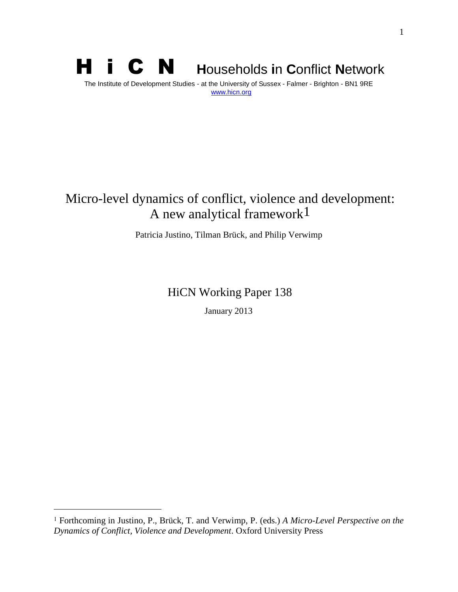# H i C N **<sup>H</sup>**ouseholds **i**n **C**onflict **<sup>N</sup>**etwork

The Institute of Development Studies - at the University of Sussex - Falmer - Brighton - BN1 9RE [www.hicn.org](http://www.hicn.org/)

# Micro-level dynamics of conflict, violence and development: A new analytical framework1

Patricia Justino, Tilman Brück, and Philip Verwimp

HiCN Working Paper 138

January 2013

<sup>1</sup> Forthcoming in Justino, P., Brück, T. and Verwimp, P. (eds.) *A Micro-Level Perspective on the Dynamics of Conflict, Violence and Development*. Oxford University Press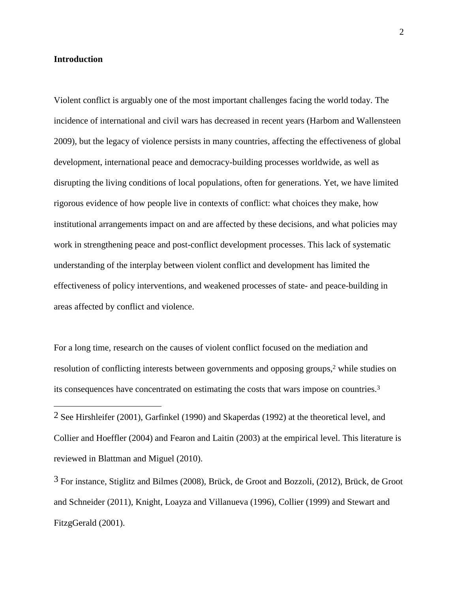# **Introduction**

Violent conflict is arguably one of the most important challenges facing the world today. The incidence of international and civil wars has decreased in recent years (Harbom and Wallensteen 2009), but the legacy of violence persists in many countries, affecting the effectiveness of global development, international peace and democracy-building processes worldwide, as well as disrupting the living conditions of local populations, often for generations. Yet, we have limited rigorous evidence of how people live in contexts of conflict: what choices they make, how institutional arrangements impact on and are affected by these decisions, and what policies may work in strengthening peace and post-conflict development processes. This lack of systematic understanding of the interplay between violent conflict and development has limited the effectiveness of policy interventions, and weakened processes of state- and peace-building in areas affected by conflict and violence.

For a long time, research on the causes of violent conflict focused on the mediation and resolution of conflicting interests between governments and opposing groups, <sup>2</sup> while studies on its consequences have concentrated on estimating the costs that wars impose on countries.<sup>3</sup>

<sup>2</sup> See Hirshleifer (2001), Garfinkel (1990) and Skaperdas (1992) at the theoretical level, and Collier and Hoeffler (2004) and Fearon and Laitin (2003) at the empirical level. This literature is reviewed in Blattman and Miguel (2010).

3 For instance, Stiglitz and Bilmes (2008), Brück, de Groot and Bozzoli, (2012), Brück, de Groot and Schneider (2011), Knight, Loayza and Villanueva (1996), Collier (1999) and Stewart and FitzgGerald (2001).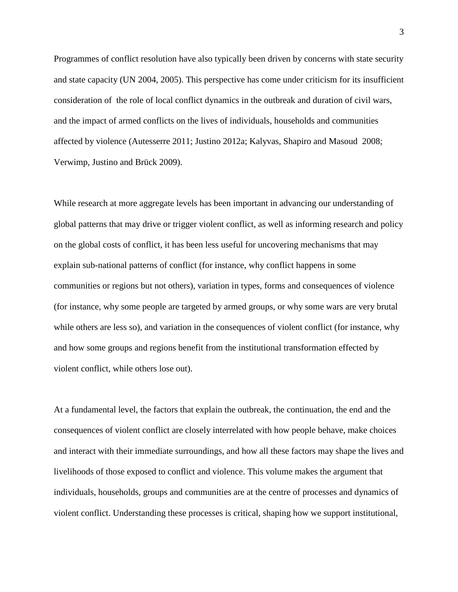Programmes of conflict resolution have also typically been driven by concerns with state security and state capacity (UN 2004, 2005). This perspective has come under criticism for its insufficient consideration of the role of local conflict dynamics in the outbreak and duration of civil wars, and the impact of armed conflicts on the lives of individuals, households and communities affected by violence (Autesserre 2011; Justino 2012a; Kalyvas, Shapiro and Masoud 2008; Verwimp, Justino and Brück 2009).

While research at more aggregate levels has been important in advancing our understanding of global patterns that may drive or trigger violent conflict, as well as informing research and policy on the global costs of conflict, it has been less useful for uncovering mechanisms that may explain sub-national patterns of conflict (for instance, why conflict happens in some communities or regions but not others), variation in types, forms and consequences of violence (for instance, why some people are targeted by armed groups, or why some wars are very brutal while others are less so), and variation in the consequences of violent conflict (for instance, why and how some groups and regions benefit from the institutional transformation effected by violent conflict, while others lose out).

At a fundamental level, the factors that explain the outbreak, the continuation, the end and the consequences of violent conflict are closely interrelated with how people behave, make choices and interact with their immediate surroundings, and how all these factors may shape the lives and livelihoods of those exposed to conflict and violence. This volume makes the argument that individuals, households, groups and communities are at the centre of processes and dynamics of violent conflict. Understanding these processes is critical, shaping how we support institutional,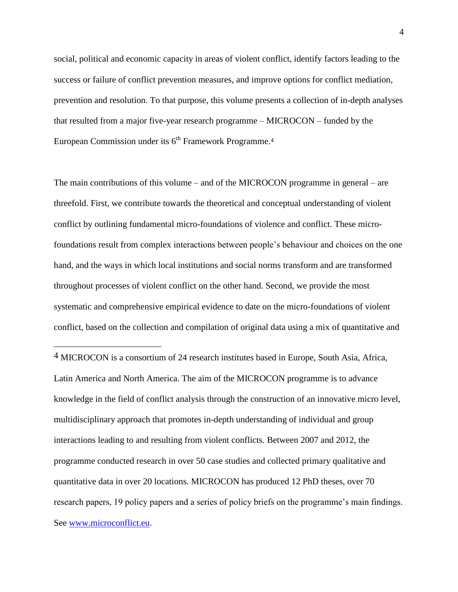social, political and economic capacity in areas of violent conflict, identify factors leading to the success or failure of conflict prevention measures, and improve options for conflict mediation, prevention and resolution. To that purpose, this volume presents a collection of in-depth analyses that resulted from a major five-year research programme – MICROCON – funded by the European Commission under its 6<sup>th</sup> Framework Programme.<sup>4</sup>

The main contributions of this volume – and of the MICROCON programme in general – are threefold. First, we contribute towards the theoretical and conceptual understanding of violent conflict by outlining fundamental micro-foundations of violence and conflict. These microfoundations result from complex interactions between people's behaviour and choices on the one hand, and the ways in which local institutions and social norms transform and are transformed throughout processes of violent conflict on the other hand. Second, we provide the most systematic and comprehensive empirical evidence to date on the micro-foundations of violent conflict, based on the collection and compilation of original data using a mix of quantitative and

<sup>4</sup> MICROCON is a consortium of 24 research institutes based in Europe, South Asia, Africa, Latin America and North America. The aim of the MICROCON programme is to advance knowledge in the field of conflict analysis through the construction of an innovative micro level, multidisciplinary approach that promotes in-depth understanding of individual and group interactions leading to and resulting from violent conflicts. Between 2007 and 2012, the programme conducted research in over 50 case studies and collected primary qualitative and quantitative data in over 20 locations. MICROCON has produced 12 PhD theses, over 70 research papers, 19 policy papers and a series of policy briefs on the programme's main findings. See [www.microconflict.eu.](http://www.microconflict.eu/)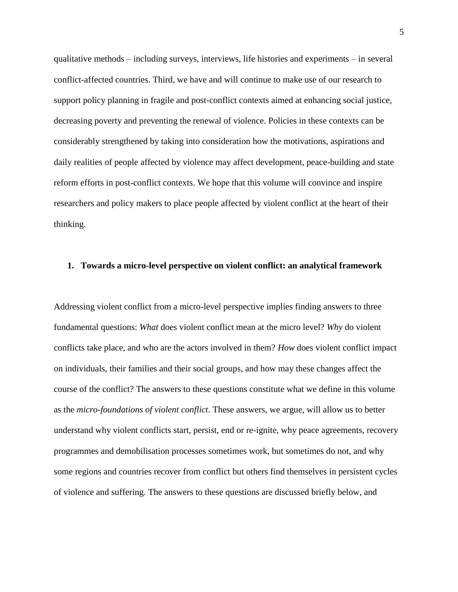qualitative methods – including surveys, interviews, life histories and experiments – in several conflict-affected countries. Third, we have and will continue to make use of our research to support policy planning in fragile and post-conflict contexts aimed at enhancing social justice, decreasing poverty and preventing the renewal of violence. Policies in these contexts can be considerably strengthened by taking into consideration how the motivations, aspirations and daily realities of people affected by violence may affect development, peace-building and state reform efforts in post-conflict contexts. We hope that this volume will convince and inspire researchers and policy makers to place people affected by violent conflict at the heart of their thinking.

#### **1. Towards a micro-level perspective on violent conflict: an analytical framework**

Addressing violent conflict from a micro-level perspective implies finding answers to three fundamental questions: *What* does violent conflict mean at the micro level? *Why* do violent conflicts take place, and who are the actors involved in them? *How* does violent conflict impact on individuals, their families and their social groups, and how may these changes affect the course of the conflict? The answers to these questions constitute what we define in this volume as the *micro-foundations of violent conflict*. These answers, we argue, will allow us to better understand why violent conflicts start, persist, end or re-ignite, why peace agreements, recovery programmes and demobilisation processes sometimes work, but sometimes do not, and why some regions and countries recover from conflict but others find themselves in persistent cycles of violence and suffering. The answers to these questions are discussed briefly below, and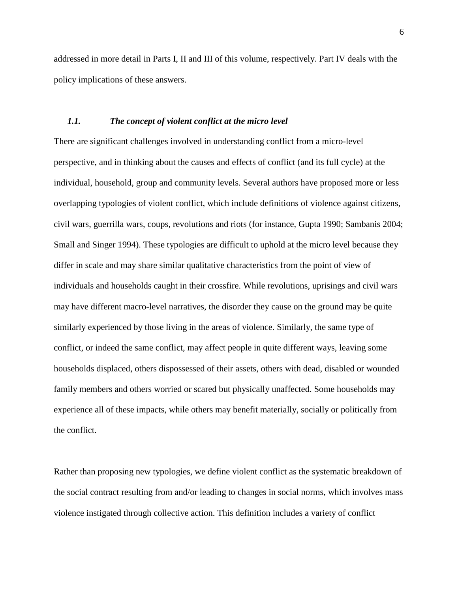addressed in more detail in Parts I, II and III of this volume, respectively. Part IV deals with the policy implications of these answers.

# *1.1. The concept of violent conflict at the micro level*

There are significant challenges involved in understanding conflict from a micro-level perspective, and in thinking about the causes and effects of conflict (and its full cycle) at the individual, household, group and community levels. Several authors have proposed more or less overlapping typologies of violent conflict, which include definitions of violence against citizens, civil wars, guerrilla wars, coups, revolutions and riots (for instance, Gupta 1990; Sambanis 2004; Small and Singer 1994). These typologies are difficult to uphold at the micro level because they differ in scale and may share similar qualitative characteristics from the point of view of individuals and households caught in their crossfire. While revolutions, uprisings and civil wars may have different macro-level narratives, the disorder they cause on the ground may be quite similarly experienced by those living in the areas of violence. Similarly, the same type of conflict, or indeed the same conflict, may affect people in quite different ways, leaving some households displaced, others dispossessed of their assets, others with dead, disabled or wounded family members and others worried or scared but physically unaffected. Some households may experience all of these impacts, while others may benefit materially, socially or politically from the conflict.

Rather than proposing new typologies, we define violent conflict as the systematic breakdown of the social contract resulting from and/or leading to changes in social norms, which involves mass violence instigated through collective action. This definition includes a variety of conflict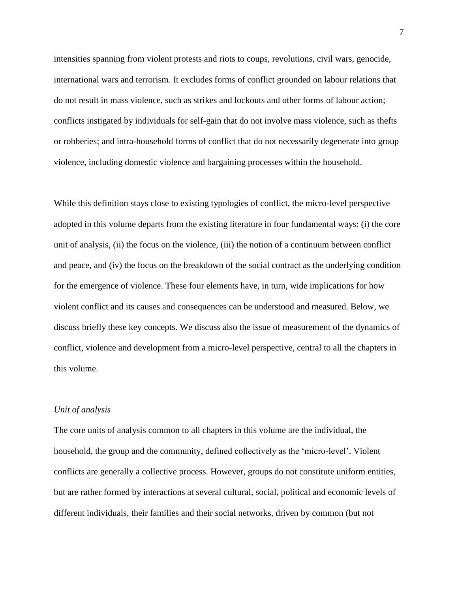intensities spanning from violent protests and riots to coups, revolutions, civil wars, genocide, international wars and terrorism. It excludes forms of conflict grounded on labour relations that do not result in mass violence, such as strikes and lockouts and other forms of labour action; conflicts instigated by individuals for self-gain that do not involve mass violence, such as thefts or robberies; and intra-household forms of conflict that do not necessarily degenerate into group violence, including domestic violence and bargaining processes within the household.

While this definition stays close to existing typologies of conflict, the micro-level perspective adopted in this volume departs from the existing literature in four fundamental ways: (i) the core unit of analysis, (ii) the focus on the violence, (iii) the notion of a continuum between conflict and peace, and (iv) the focus on the breakdown of the social contract as the underlying condition for the emergence of violence. These four elements have, in turn, wide implications for how violent conflict and its causes and consequences can be understood and measured. Below, we discuss briefly these key concepts. We discuss also the issue of measurement of the dynamics of conflict, violence and development from a micro-level perspective, central to all the chapters in this volume.

#### *Unit of analysis*

The core units of analysis common to all chapters in this volume are the individual, the household, the group and the community, defined collectively as the 'micro-level'. Violent conflicts are generally a collective process. However, groups do not constitute uniform entities, but are rather formed by interactions at several cultural, social, political and economic levels of different individuals, their families and their social networks, driven by common (but not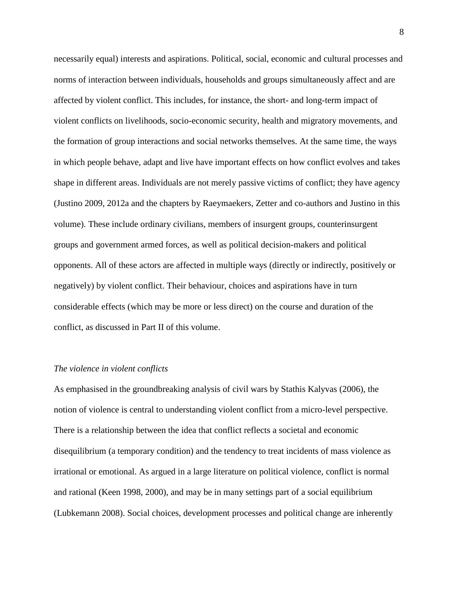necessarily equal) interests and aspirations. Political, social, economic and cultural processes and norms of interaction between individuals, households and groups simultaneously affect and are affected by violent conflict. This includes, for instance, the short- and long-term impact of violent conflicts on livelihoods, socio-economic security, health and migratory movements, and the formation of group interactions and social networks themselves. At the same time, the ways in which people behave, adapt and live have important effects on how conflict evolves and takes shape in different areas. Individuals are not merely passive victims of conflict; they have agency (Justino 2009, 2012a and the chapters by Raeymaekers, Zetter and co-authors and Justino in this volume). These include ordinary civilians, members of insurgent groups, counterinsurgent groups and government armed forces, as well as political decision-makers and political opponents. All of these actors are affected in multiple ways (directly or indirectly, positively or negatively) by violent conflict. Their behaviour, choices and aspirations have in turn considerable effects (which may be more or less direct) on the course and duration of the conflict, as discussed in Part II of this volume.

#### *The violence in violent conflicts*

As emphasised in the groundbreaking analysis of civil wars by Stathis Kalyvas (2006), the notion of violence is central to understanding violent conflict from a micro-level perspective. There is a relationship between the idea that conflict reflects a societal and economic disequilibrium (a temporary condition) and the tendency to treat incidents of mass violence as irrational or emotional. As argued in a large literature on political violence, conflict is normal and rational (Keen 1998, 2000), and may be in many settings part of a social equilibrium (Lubkemann 2008). Social choices, development processes and political change are inherently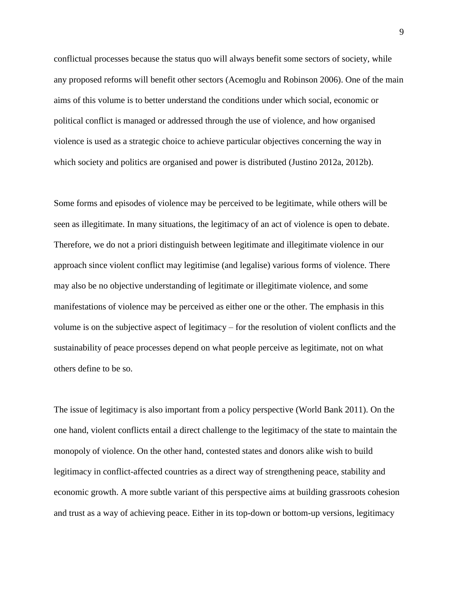conflictual processes because the status quo will always benefit some sectors of society, while any proposed reforms will benefit other sectors (Acemoglu and Robinson 2006). One of the main aims of this volume is to better understand the conditions under which social, economic or political conflict is managed or addressed through the use of violence, and how organised violence is used as a strategic choice to achieve particular objectives concerning the way in which society and politics are organised and power is distributed (Justino 2012a, 2012b).

Some forms and episodes of violence may be perceived to be legitimate, while others will be seen as illegitimate. In many situations, the legitimacy of an act of violence is open to debate. Therefore, we do not a priori distinguish between legitimate and illegitimate violence in our approach since violent conflict may legitimise (and legalise) various forms of violence. There may also be no objective understanding of legitimate or illegitimate violence, and some manifestations of violence may be perceived as either one or the other. The emphasis in this volume is on the subjective aspect of legitimacy – for the resolution of violent conflicts and the sustainability of peace processes depend on what people perceive as legitimate, not on what others define to be so.

The issue of legitimacy is also important from a policy perspective (World Bank 2011). On the one hand, violent conflicts entail a direct challenge to the legitimacy of the state to maintain the monopoly of violence. On the other hand, contested states and donors alike wish to build legitimacy in conflict-affected countries as a direct way of strengthening peace, stability and economic growth. A more subtle variant of this perspective aims at building grassroots cohesion and trust as a way of achieving peace. Either in its top-down or bottom-up versions, legitimacy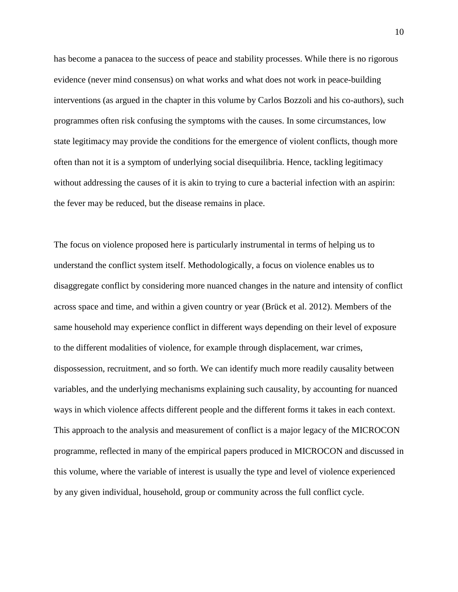has become a panacea to the success of peace and stability processes. While there is no rigorous evidence (never mind consensus) on what works and what does not work in peace-building interventions (as argued in the chapter in this volume by Carlos Bozzoli and his co-authors), such programmes often risk confusing the symptoms with the causes. In some circumstances, low state legitimacy may provide the conditions for the emergence of violent conflicts, though more often than not it is a symptom of underlying social disequilibria. Hence, tackling legitimacy without addressing the causes of it is akin to trying to cure a bacterial infection with an aspirin: the fever may be reduced, but the disease remains in place.

The focus on violence proposed here is particularly instrumental in terms of helping us to understand the conflict system itself. Methodologically, a focus on violence enables us to disaggregate conflict by considering more nuanced changes in the nature and intensity of conflict across space and time, and within a given country or year (Brück et al. 2012). Members of the same household may experience conflict in different ways depending on their level of exposure to the different modalities of violence, for example through displacement, war crimes, dispossession, recruitment, and so forth. We can identify much more readily causality between variables, and the underlying mechanisms explaining such causality, by accounting for nuanced ways in which violence affects different people and the different forms it takes in each context. This approach to the analysis and measurement of conflict is a major legacy of the MICROCON programme, reflected in many of the empirical papers produced in MICROCON and discussed in this volume, where the variable of interest is usually the type and level of violence experienced by any given individual, household, group or community across the full conflict cycle.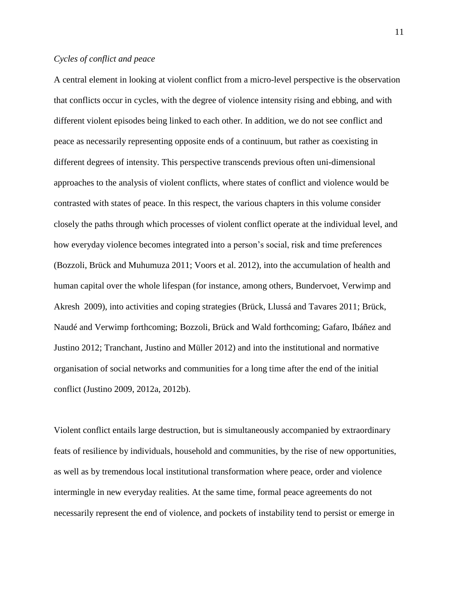# *Cycles of conflict and peace*

A central element in looking at violent conflict from a micro-level perspective is the observation that conflicts occur in cycles, with the degree of violence intensity rising and ebbing, and with different violent episodes being linked to each other. In addition, we do not see conflict and peace as necessarily representing opposite ends of a continuum, but rather as coexisting in different degrees of intensity. This perspective transcends previous often uni-dimensional approaches to the analysis of violent conflicts, where states of conflict and violence would be contrasted with states of peace. In this respect, the various chapters in this volume consider closely the paths through which processes of violent conflict operate at the individual level, and how everyday violence becomes integrated into a person's social, risk and time preferences (Bozzoli, Brück and Muhumuza 2011; Voors et al. 2012), into the accumulation of health and human capital over the whole lifespan (for instance, among others, Bundervoet, Verwimp and Akresh 2009), into activities and coping strategies (Brück, Llussá and Tavares 2011; Brück, Naudé and Verwimp forthcoming; Bozzoli, Brück and Wald forthcoming; Gafaro, Ibáñez and Justino 2012; Tranchant, Justino and Müller 2012) and into the institutional and normative organisation of social networks and communities for a long time after the end of the initial conflict (Justino 2009, 2012a, 2012b).

Violent conflict entails large destruction, but is simultaneously accompanied by extraordinary feats of resilience by individuals, household and communities, by the rise of new opportunities, as well as by tremendous local institutional transformation where peace, order and violence intermingle in new everyday realities. At the same time, formal peace agreements do not necessarily represent the end of violence, and pockets of instability tend to persist or emerge in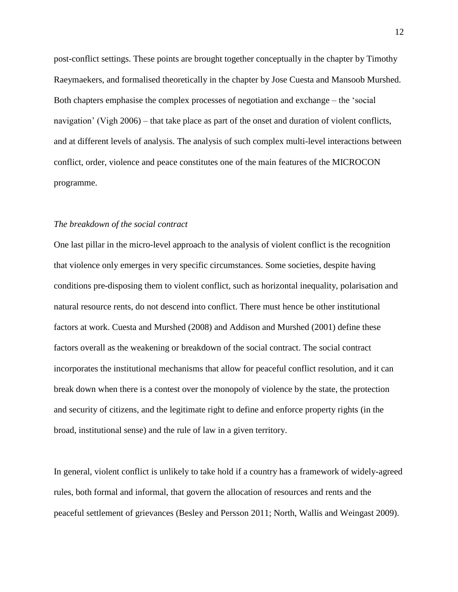post-conflict settings. These points are brought together conceptually in the chapter by Timothy Raeymaekers, and formalised theoretically in the chapter by Jose Cuesta and Mansoob Murshed. Both chapters emphasise the complex processes of negotiation and exchange – the 'social navigation' (Vigh 2006) – that take place as part of the onset and duration of violent conflicts, and at different levels of analysis. The analysis of such complex multi-level interactions between conflict, order, violence and peace constitutes one of the main features of the MICROCON programme.

# *The breakdown of the social contract*

One last pillar in the micro-level approach to the analysis of violent conflict is the recognition that violence only emerges in very specific circumstances. Some societies, despite having conditions pre-disposing them to violent conflict, such as horizontal inequality, polarisation and natural resource rents, do not descend into conflict. There must hence be other institutional factors at work. Cuesta and Murshed (2008) and Addison and Murshed (2001) define these factors overall as the weakening or breakdown of the social contract. The social contract incorporates the institutional mechanisms that allow for peaceful conflict resolution, and it can break down when there is a contest over the monopoly of violence by the state, the protection and security of citizens, and the legitimate right to define and enforce property rights (in the broad, institutional sense) and the rule of law in a given territory.

In general, violent conflict is unlikely to take hold if a country has a framework of widely-agreed rules, both formal and informal, that govern the allocation of resources and rents and the peaceful settlement of grievances (Besley and Persson 2011; North, Wallis and Weingast 2009).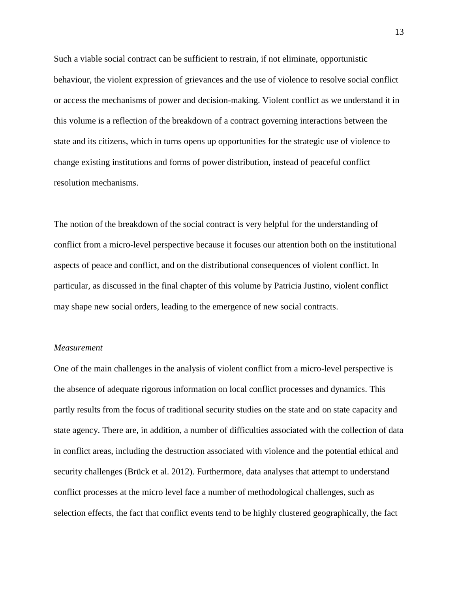Such a viable social contract can be sufficient to restrain, if not eliminate, opportunistic behaviour, the violent expression of grievances and the use of violence to resolve social conflict or access the mechanisms of power and decision-making. Violent conflict as we understand it in this volume is a reflection of the breakdown of a contract governing interactions between the state and its citizens, which in turns opens up opportunities for the strategic use of violence to change existing institutions and forms of power distribution, instead of peaceful conflict resolution mechanisms.

The notion of the breakdown of the social contract is very helpful for the understanding of conflict from a micro-level perspective because it focuses our attention both on the institutional aspects of peace and conflict, and on the distributional consequences of violent conflict. In particular, as discussed in the final chapter of this volume by Patricia Justino, violent conflict may shape new social orders, leading to the emergence of new social contracts.

## *Measurement*

One of the main challenges in the analysis of violent conflict from a micro-level perspective is the absence of adequate rigorous information on local conflict processes and dynamics. This partly results from the focus of traditional security studies on the state and on state capacity and state agency. There are, in addition, a number of difficulties associated with the collection of data in conflict areas, including the destruction associated with violence and the potential ethical and security challenges (Brück et al. 2012). Furthermore, data analyses that attempt to understand conflict processes at the micro level face a number of methodological challenges, such as selection effects, the fact that conflict events tend to be highly clustered geographically, the fact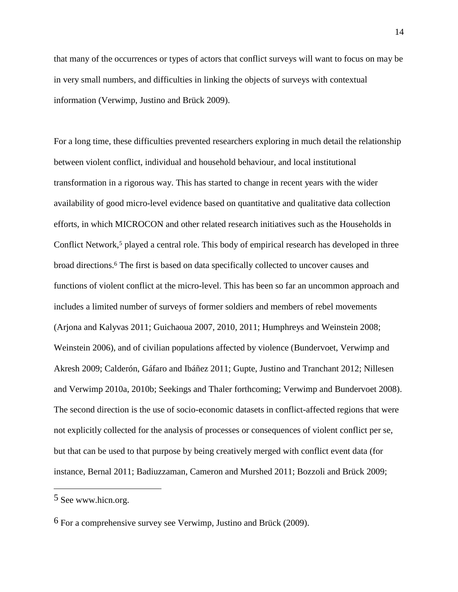that many of the occurrences or types of actors that conflict surveys will want to focus on may be in very small numbers, and difficulties in linking the objects of surveys with contextual information (Verwimp, Justino and Brück 2009).

For a long time, these difficulties prevented researchers exploring in much detail the relationship between violent conflict, individual and household behaviour, and local institutional transformation in a rigorous way. This has started to change in recent years with the wider availability of good micro-level evidence based on quantitative and qualitative data collection efforts, in which MICROCON and other related research initiatives such as the Households in Conflict Network,<sup>5</sup> played a central role. This body of empirical research has developed in three broad directions. <sup>6</sup> The first is based on data specifically collected to uncover causes and functions of violent conflict at the micro-level. This has been so far an uncommon approach and includes a limited number of surveys of former soldiers and members of rebel movements (Arjona and Kalyvas 2011; Guichaoua 2007, 2010, 2011; Humphreys and Weinstein 2008; Weinstein 2006), and of civilian populations affected by violence (Bundervoet, Verwimp and Akresh 2009; Calderón, Gáfaro and Ibáñez 2011; Gupte, Justino and Tranchant 2012; Nillesen and Verwimp 2010a, 2010b; Seekings and Thaler forthcoming; Verwimp and Bundervoet 2008). The second direction is the use of socio-economic datasets in conflict-affected regions that were not explicitly collected for the analysis of processes or consequences of violent conflict per se, but that can be used to that purpose by being creatively merged with conflict event data (for instance, Bernal 2011; Badiuzzaman, Cameron and Murshed 2011; Bozzoli and Brück 2009;

 $\overline{a}$ 

<sup>5</sup> See www.hicn.org.

<sup>6</sup> For a comprehensive survey see Verwimp, Justino and Brück (2009).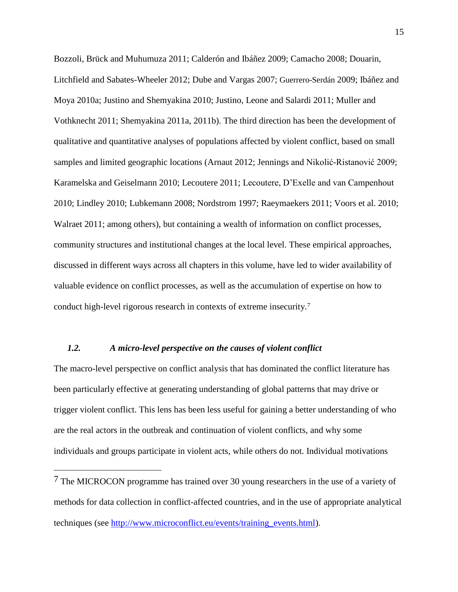Bozzoli, Brück and Muhumuza 2011; Calderón and Ibáñez 2009; Camacho 2008; Douarin, Litchfield and Sabates-Wheeler 2012; Dube and Vargas 2007; Guerrero-Serdán 2009; Ibáñez and Moya 2010a; Justino and Shemyakina 2010; Justino, Leone and Salardi 2011; Muller and Vothknecht 2011; Shemyakina 2011a, 2011b). The third direction has been the development of qualitative and quantitative analyses of populations affected by violent conflict, based on small samples and limited geographic locations (Arnaut 2012; Jennings and Nikolić-Ristanović 2009; Karamelska and Geiselmann 2010; Lecoutere 2011; Lecoutere, D'Exelle and van Campenhout 2010; Lindley 2010; Lubkemann 2008; Nordstrom 1997; Raeymaekers 2011; Voors et al. 2010; Walraet 2011; among others), but containing a wealth of information on conflict processes, community structures and institutional changes at the local level. These empirical approaches, discussed in different ways across all chapters in this volume, have led to wider availability of valuable evidence on conflict processes, as well as the accumulation of expertise on how to conduct high-level rigorous research in contexts of extreme insecurity.<sup>7</sup>

## *1.2. A micro-level perspective on the causes of violent conflict*

The macro-level perspective on conflict analysis that has dominated the conflict literature has been particularly effective at generating understanding of global patterns that may drive or trigger violent conflict. This lens has been less useful for gaining a better understanding of who are the real actors in the outbreak and continuation of violent conflicts, and why some individuals and groups participate in violent acts, while others do not. Individual motivations

 $7$  The MICROCON programme has trained over 30 young researchers in the use of a variety of methods for data collection in conflict-affected countries, and in the use of appropriate analytical techniques (see [http://www.microconflict.eu/events/training\\_events.html\)](http://www.microconflict.eu/events/training_events.html).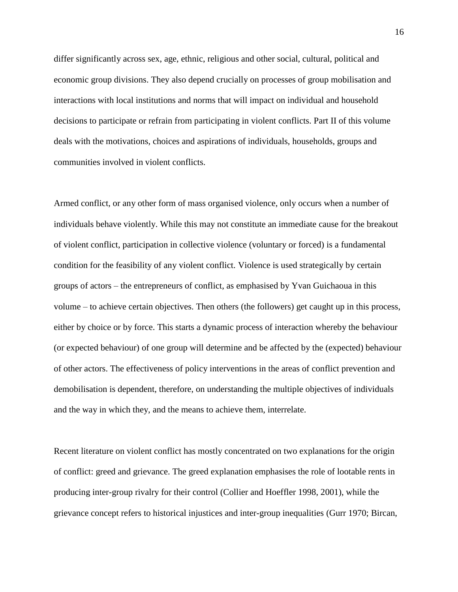differ significantly across sex, age, ethnic, religious and other social, cultural, political and economic group divisions. They also depend crucially on processes of group mobilisation and interactions with local institutions and norms that will impact on individual and household decisions to participate or refrain from participating in violent conflicts. Part II of this volume deals with the motivations, choices and aspirations of individuals, households, groups and communities involved in violent conflicts.

Armed conflict, or any other form of mass organised violence, only occurs when a number of individuals behave violently. While this may not constitute an immediate cause for the breakout of violent conflict, participation in collective violence (voluntary or forced) is a fundamental condition for the feasibility of any violent conflict. Violence is used strategically by certain groups of actors – the entrepreneurs of conflict, as emphasised by Yvan Guichaoua in this volume – to achieve certain objectives. Then others (the followers) get caught up in this process, either by choice or by force. This starts a dynamic process of interaction whereby the behaviour (or expected behaviour) of one group will determine and be affected by the (expected) behaviour of other actors. The effectiveness of policy interventions in the areas of conflict prevention and demobilisation is dependent, therefore, on understanding the multiple objectives of individuals and the way in which they, and the means to achieve them, interrelate.

Recent literature on violent conflict has mostly concentrated on two explanations for the origin of conflict: greed and grievance. The greed explanation emphasises the role of lootable rents in producing inter-group rivalry for their control (Collier and Hoeffler 1998, 2001), while the grievance concept refers to historical injustices and inter-group inequalities (Gurr 1970; Bircan,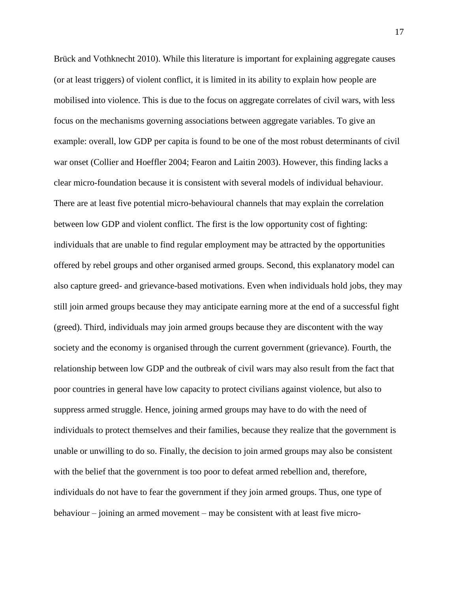Brück and Vothknecht 2010). While this literature is important for explaining aggregate causes (or at least triggers) of violent conflict, it is limited in its ability to explain how people are mobilised into violence. This is due to the focus on aggregate correlates of civil wars, with less focus on the mechanisms governing associations between aggregate variables. To give an example: overall, low GDP per capita is found to be one of the most robust determinants of civil war onset (Collier and Hoeffler 2004; Fearon and Laitin 2003). However, this finding lacks a clear micro-foundation because it is consistent with several models of individual behaviour. There are at least five potential micro-behavioural channels that may explain the correlation between low GDP and violent conflict. The first is the low opportunity cost of fighting: individuals that are unable to find regular employment may be attracted by the opportunities offered by rebel groups and other organised armed groups. Second, this explanatory model can also capture greed- and grievance-based motivations. Even when individuals hold jobs, they may still join armed groups because they may anticipate earning more at the end of a successful fight (greed). Third, individuals may join armed groups because they are discontent with the way society and the economy is organised through the current government (grievance). Fourth, the relationship between low GDP and the outbreak of civil wars may also result from the fact that poor countries in general have low capacity to protect civilians against violence, but also to suppress armed struggle. Hence, joining armed groups may have to do with the need of individuals to protect themselves and their families, because they realize that the government is unable or unwilling to do so. Finally, the decision to join armed groups may also be consistent with the belief that the government is too poor to defeat armed rebellion and, therefore, individuals do not have to fear the government if they join armed groups. Thus, one type of behaviour – joining an armed movement – may be consistent with at least five micro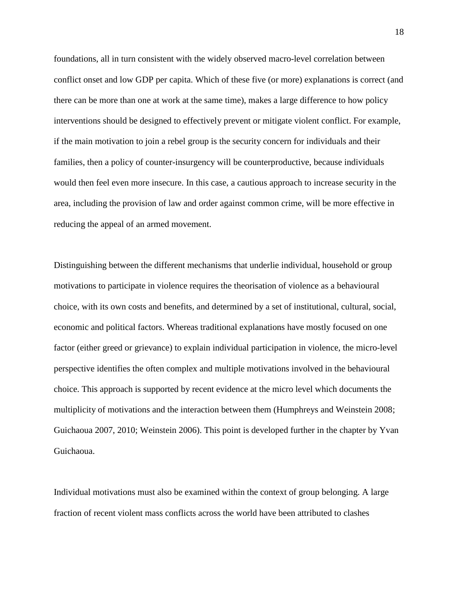foundations, all in turn consistent with the widely observed macro-level correlation between conflict onset and low GDP per capita. Which of these five (or more) explanations is correct (and there can be more than one at work at the same time), makes a large difference to how policy interventions should be designed to effectively prevent or mitigate violent conflict. For example, if the main motivation to join a rebel group is the security concern for individuals and their families, then a policy of counter-insurgency will be counterproductive, because individuals would then feel even more insecure. In this case, a cautious approach to increase security in the area, including the provision of law and order against common crime, will be more effective in reducing the appeal of an armed movement.

Distinguishing between the different mechanisms that underlie individual, household or group motivations to participate in violence requires the theorisation of violence as a behavioural choice, with its own costs and benefits, and determined by a set of institutional, cultural, social, economic and political factors. Whereas traditional explanations have mostly focused on one factor (either greed or grievance) to explain individual participation in violence, the micro-level perspective identifies the often complex and multiple motivations involved in the behavioural choice. This approach is supported by recent evidence at the micro level which documents the multiplicity of motivations and the interaction between them (Humphreys and Weinstein 2008; Guichaoua 2007, 2010; Weinstein 2006). This point is developed further in the chapter by Yvan Guichaoua.

Individual motivations must also be examined within the context of group belonging. A large fraction of recent violent mass conflicts across the world have been attributed to clashes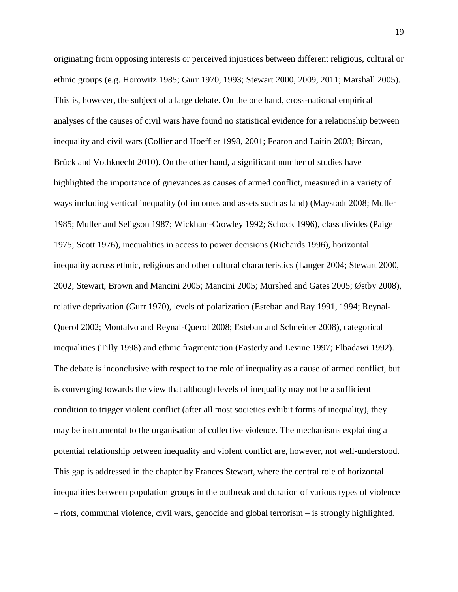originating from opposing interests or perceived injustices between different religious, cultural or ethnic groups (e.g. Horowitz 1985; Gurr 1970, 1993; Stewart 2000, 2009, 2011; Marshall 2005). This is, however, the subject of a large debate. On the one hand, cross-national empirical analyses of the causes of civil wars have found no statistical evidence for a relationship between inequality and civil wars (Collier and Hoeffler 1998, 2001; Fearon and Laitin 2003; Bircan, Brück and Vothknecht 2010). On the other hand, a significant number of studies have highlighted the importance of grievances as causes of armed conflict, measured in a variety of ways including vertical inequality (of incomes and assets such as land) (Maystadt 2008; Muller 1985; Muller and Seligson 1987; Wickham-Crowley 1992; Schock 1996), class divides (Paige 1975; Scott 1976), inequalities in access to power decisions (Richards 1996), horizontal inequality across ethnic, religious and other cultural characteristics (Langer 2004; Stewart 2000, 2002; Stewart, Brown and Mancini 2005; Mancini 2005; Murshed and Gates 2005; Østby 2008), relative deprivation (Gurr 1970), levels of polarization (Esteban and Ray 1991, 1994; Reynal-Querol 2002; Montalvo and Reynal-Querol 2008; Esteban and Schneider 2008), categorical inequalities (Tilly 1998) and ethnic fragmentation (Easterly and Levine 1997; Elbadawi 1992). The debate is inconclusive with respect to the role of inequality as a cause of armed conflict, but is converging towards the view that although levels of inequality may not be a sufficient condition to trigger violent conflict (after all most societies exhibit forms of inequality), they may be instrumental to the organisation of collective violence. The mechanisms explaining a potential relationship between inequality and violent conflict are, however, not well-understood. This gap is addressed in the chapter by Frances Stewart, where the central role of horizontal inequalities between population groups in the outbreak and duration of various types of violence – riots, communal violence, civil wars, genocide and global terrorism – is strongly highlighted.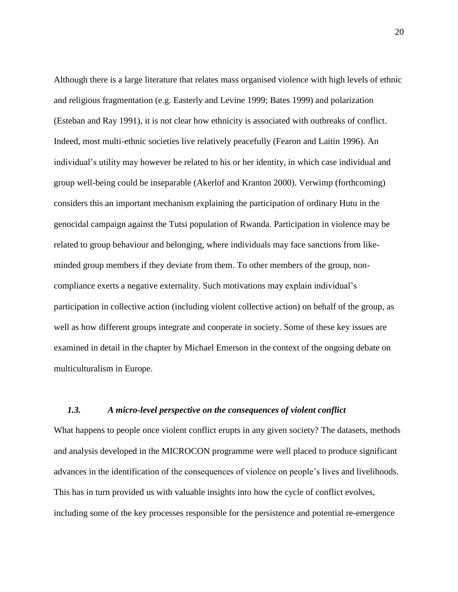Although there is a large literature that relates mass organised violence with high levels of ethnic and religious fragmentation (e.g. Easterly and Levine 1999; Bates 1999) and polarization (Esteban and Ray 1991), it is not clear how ethnicity is associated with outbreaks of conflict. Indeed, most multi-ethnic societies live relatively peacefully (Fearon and Laitin 1996). An individual's utility may however be related to his or her identity, in which case individual and group well-being could be inseparable (Akerlof and Kranton 2000). Verwimp (forthcoming) considers this an important mechanism explaining the participation of ordinary Hutu in the genocidal campaign against the Tutsi population of Rwanda. Participation in violence may be related to group behaviour and belonging, where individuals may face sanctions from likeminded group members if they deviate from them. To other members of the group, noncompliance exerts a negative externality. Such motivations may explain individual's participation in collective action (including violent collective action) on behalf of the group, as well as how different groups integrate and cooperate in society. Some of these key issues are examined in detail in the chapter by Michael Emerson in the context of the ongoing debate on multiculturalism in Europe.

# *1.3. A micro-level perspective on the consequences of violent conflict*

What happens to people once violent conflict erupts in any given society? The datasets, methods and analysis developed in the MICROCON programme were well placed to produce significant advances in the identification of the consequences of violence on people's lives and livelihoods. This has in turn provided us with valuable insights into how the cycle of conflict evolves, including some of the key processes responsible for the persistence and potential re-emergence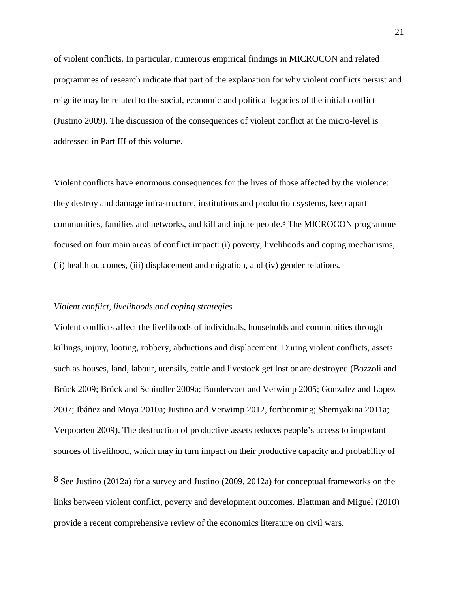of violent conflicts. In particular, numerous empirical findings in MICROCON and related programmes of research indicate that part of the explanation for why violent conflicts persist and reignite may be related to the social, economic and political legacies of the initial conflict (Justino 2009). The discussion of the consequences of violent conflict at the micro-level is addressed in Part III of this volume.

Violent conflicts have enormous consequences for the lives of those affected by the violence: they destroy and damage infrastructure, institutions and production systems, keep apart communities, families and networks, and kill and injure people.<sup>8</sup> The MICROCON programme focused on four main areas of conflict impact: (i) poverty, livelihoods and coping mechanisms, (ii) health outcomes, (iii) displacement and migration, and (iv) gender relations.

# *Violent conflict, livelihoods and coping strategies*

Violent conflicts affect the livelihoods of individuals, households and communities through killings, injury, looting, robbery, abductions and displacement. During violent conflicts, assets such as houses, land, labour, utensils, cattle and livestock get lost or are destroyed (Bozzoli and Brück 2009; Brück and Schindler 2009a; Bundervoet and Verwimp 2005; Gonzalez and Lopez 2007; Ibáñez and Moya 2010a; Justino and Verwimp 2012, forthcoming; Shemyakina 2011a; Verpoorten 2009). The destruction of productive assets reduces people's access to important sources of livelihood, which may in turn impact on their productive capacity and probability of

<sup>8</sup> See Justino (2012a) for a survey and Justino (2009, 2012a) for conceptual frameworks on the links between violent conflict, poverty and development outcomes. Blattman and Miguel (2010) provide a recent comprehensive review of the economics literature on civil wars.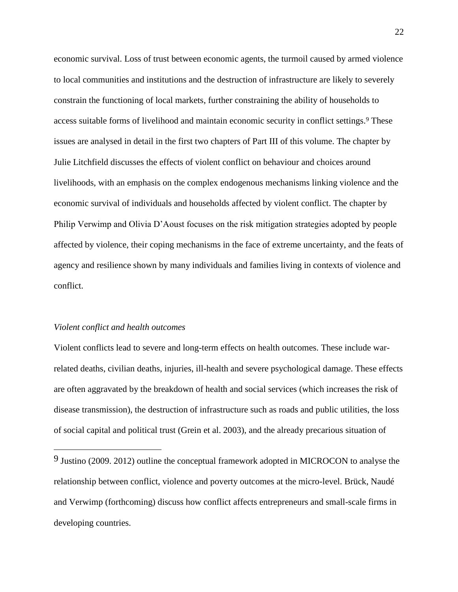economic survival. Loss of trust between economic agents, the turmoil caused by armed violence to local communities and institutions and the destruction of infrastructure are likely to severely constrain the functioning of local markets, further constraining the ability of households to access suitable forms of livelihood and maintain economic security in conflict settings. <sup>9</sup> These issues are analysed in detail in the first two chapters of Part III of this volume. The chapter by Julie Litchfield discusses the effects of violent conflict on behaviour and choices around livelihoods, with an emphasis on the complex endogenous mechanisms linking violence and the economic survival of individuals and households affected by violent conflict. The chapter by Philip Verwimp and Olivia D'Aoust focuses on the risk mitigation strategies adopted by people affected by violence, their coping mechanisms in the face of extreme uncertainty, and the feats of agency and resilience shown by many individuals and families living in contexts of violence and conflict.

#### *Violent conflict and health outcomes*

 $\overline{a}$ 

Violent conflicts lead to severe and long-term effects on health outcomes. These include warrelated deaths, civilian deaths, injuries, ill-health and severe psychological damage. These effects are often aggravated by the breakdown of health and social services (which increases the risk of disease transmission), the destruction of infrastructure such as roads and public utilities, the loss of social capital and political trust (Grein et al. 2003), and the already precarious situation of

 $9$  Justino (2009. 2012) outline the conceptual framework adopted in MICROCON to analyse the relationship between conflict, violence and poverty outcomes at the micro-level. Brück, Naudé and Verwimp (forthcoming) discuss how conflict affects entrepreneurs and small-scale firms in developing countries.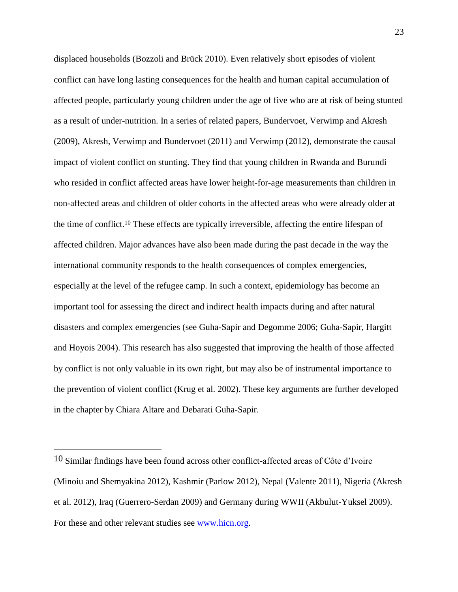displaced households (Bozzoli and Brück 2010). Even relatively short episodes of violent conflict can have long lasting consequences for the health and human capital accumulation of affected people, particularly young children under the age of five who are at risk of being stunted as a result of under-nutrition. In a series of related papers, Bundervoet, Verwimp and Akresh (2009), Akresh, Verwimp and Bundervoet (2011) and Verwimp (2012), demonstrate the causal impact of violent conflict on stunting. They find that young children in Rwanda and Burundi who resided in conflict affected areas have lower height-for-age measurements than children in non-affected areas and children of older cohorts in the affected areas who were already older at the time of conflict.<sup>10</sup> These effects are typically irreversible, affecting the entire lifespan of affected children. Major advances have also been made during the past decade in the way the international community responds to the health consequences of complex emergencies, especially at the level of the refugee camp. In such a context, epidemiology has become an important tool for assessing the direct and indirect health impacts during and after natural disasters and complex emergencies (see Guha-Sapir and Degomme 2006; Guha-Sapir, Hargitt and Hoyois 2004). This research has also suggested that improving the health of those affected by conflict is not only valuable in its own right, but may also be of instrumental importance to the prevention of violent conflict (Krug et al. 2002). These key arguments are further developed in the chapter by Chiara Altare and Debarati Guha-Sapir.

 $\overline{a}$ 

<sup>10</sup> Similar findings have been found across other conflict-affected areas of Côte d'Ivoire (Minoiu and Shemyakina 2012), Kashmir (Parlow 2012), Nepal (Valente 2011), Nigeria (Akresh et al. 2012), Iraq (Guerrero-Serdan 2009) and Germany during WWII (Akbulut-Yuksel 2009). For these and other relevant studies see [www.hicn.org.](http://www.hicn.org/)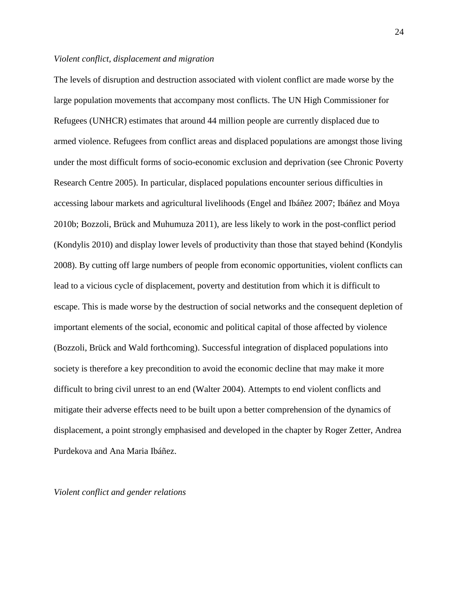#### *Violent conflict, displacement and migration*

The levels of disruption and destruction associated with violent conflict are made worse by the large population movements that accompany most conflicts. The UN High Commissioner for Refugees (UNHCR) estimates that around 44 million people are currently displaced due to armed violence. Refugees from conflict areas and displaced populations are amongst those living under the most difficult forms of socio-economic exclusion and deprivation (see Chronic Poverty Research Centre 2005). In particular, displaced populations encounter serious difficulties in accessing labour markets and agricultural livelihoods (Engel and Ibáñez 2007; Ibáñez and Moya 2010b; Bozzoli, Brück and Muhumuza 2011), are less likely to work in the post-conflict period (Kondylis 2010) and display lower levels of productivity than those that stayed behind (Kondylis 2008). By cutting off large numbers of people from economic opportunities, violent conflicts can lead to a vicious cycle of displacement, poverty and destitution from which it is difficult to escape. This is made worse by the destruction of social networks and the consequent depletion of important elements of the social, economic and political capital of those affected by violence (Bozzoli, Brück and Wald forthcoming). Successful integration of displaced populations into society is therefore a key precondition to avoid the economic decline that may make it more difficult to bring civil unrest to an end (Walter 2004). Attempts to end violent conflicts and mitigate their adverse effects need to be built upon a better comprehension of the dynamics of displacement, a point strongly emphasised and developed in the chapter by Roger Zetter, Andrea Purdekova and Ana Maria Ibáñez.

#### *Violent conflict and gender relations*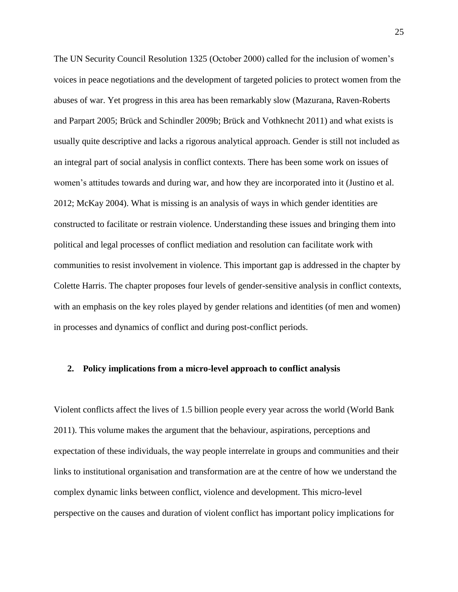The UN Security Council Resolution 1325 (October 2000) called for the inclusion of women's voices in peace negotiations and the development of targeted policies to protect women from the abuses of war. Yet progress in this area has been remarkably slow (Mazurana, Raven-Roberts and Parpart 2005; Brück and Schindler 2009b; Brück and Vothknecht 2011) and what exists is usually quite descriptive and lacks a rigorous analytical approach. Gender is still not included as an integral part of social analysis in conflict contexts. There has been some work on issues of women's attitudes towards and during war, and how they are incorporated into it (Justino et al. 2012; McKay 2004). What is missing is an analysis of ways in which gender identities are constructed to facilitate or restrain violence. Understanding these issues and bringing them into political and legal processes of conflict mediation and resolution can facilitate work with communities to resist involvement in violence. This important gap is addressed in the chapter by Colette Harris. The chapter proposes four levels of gender-sensitive analysis in conflict contexts, with an emphasis on the key roles played by gender relations and identities (of men and women) in processes and dynamics of conflict and during post-conflict periods.

#### **2. Policy implications from a micro-level approach to conflict analysis**

Violent conflicts affect the lives of 1.5 billion people every year across the world (World Bank 2011). This volume makes the argument that the behaviour, aspirations, perceptions and expectation of these individuals, the way people interrelate in groups and communities and their links to institutional organisation and transformation are at the centre of how we understand the complex dynamic links between conflict, violence and development. This micro-level perspective on the causes and duration of violent conflict has important policy implications for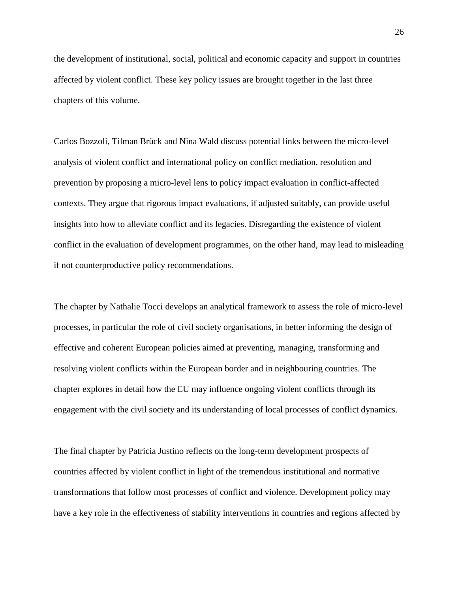the development of institutional, social, political and economic capacity and support in countries affected by violent conflict. These key policy issues are brought together in the last three chapters of this volume.

Carlos Bozzoli, Tilman Brück and Nina Wald discuss potential links between the micro-level analysis of violent conflict and international policy on conflict mediation, resolution and prevention by proposing a micro-level lens to policy impact evaluation in conflict-affected contexts. They argue that rigorous impact evaluations, if adjusted suitably, can provide useful insights into how to alleviate conflict and its legacies. Disregarding the existence of violent conflict in the evaluation of development programmes, on the other hand, may lead to misleading if not counterproductive policy recommendations.

The chapter by Nathalie Tocci develops an analytical framework to assess the role of micro-level processes, in particular the role of civil society organisations, in better informing the design of effective and coherent European policies aimed at preventing, managing, transforming and resolving violent conflicts within the European border and in neighbouring countries. The chapter explores in detail how the EU may influence ongoing violent conflicts through its engagement with the civil society and its understanding of local processes of conflict dynamics.

The final chapter by Patricia Justino reflects on the long-term development prospects of countries affected by violent conflict in light of the tremendous institutional and normative transformations that follow most processes of conflict and violence. Development policy may have a key role in the effectiveness of stability interventions in countries and regions affected by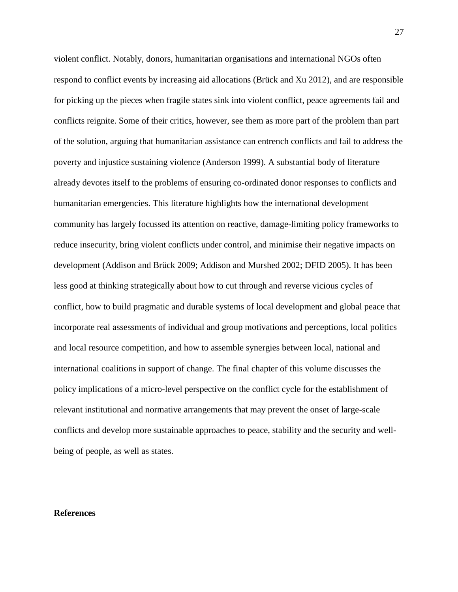violent conflict. Notably, donors, humanitarian organisations and international NGOs often respond to conflict events by increasing aid allocations (Brück and Xu 2012), and are responsible for picking up the pieces when fragile states sink into violent conflict, peace agreements fail and conflicts reignite. Some of their critics, however, see them as more part of the problem than part of the solution, arguing that humanitarian assistance can entrench conflicts and fail to address the poverty and injustice sustaining violence (Anderson 1999). A substantial body of literature already devotes itself to the problems of ensuring co-ordinated donor responses to conflicts and humanitarian emergencies. This literature highlights how the international development community has largely focussed its attention on reactive, damage-limiting policy frameworks to reduce insecurity, bring violent conflicts under control, and minimise their negative impacts on development (Addison and Brück 2009; Addison and Murshed 2002; DFID 2005). It has been less good at thinking strategically about how to cut through and reverse vicious cycles of conflict, how to build pragmatic and durable systems of local development and global peace that incorporate real assessments of individual and group motivations and perceptions, local politics and local resource competition, and how to assemble synergies between local, national and international coalitions in support of change. The final chapter of this volume discusses the policy implications of a micro-level perspective on the conflict cycle for the establishment of relevant institutional and normative arrangements that may prevent the onset of large-scale conflicts and develop more sustainable approaches to peace, stability and the security and wellbeing of people, as well as states.

#### **References**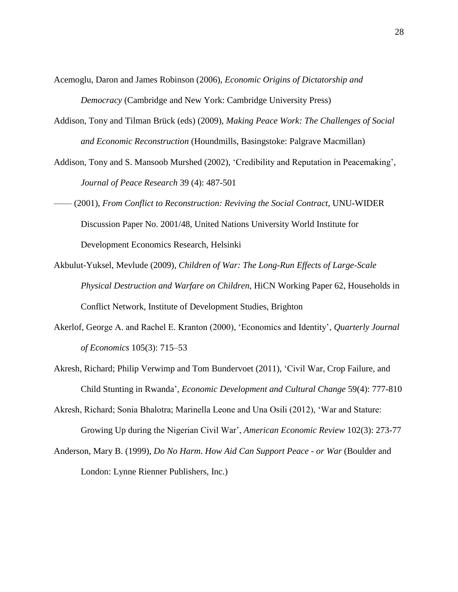- Acemoglu, Daron and James Robinson (2006), *Economic Origins of Dictatorship and Democracy* (Cambridge and New York: Cambridge University Press)
- Addison, Tony and Tilman Brück (eds) (2009), *Making Peace Work: The Challenges of Social and Economic Reconstruction* (Houndmills, Basingstoke: Palgrave Macmillan)
- Addison, Tony and S. Mansoob Murshed (2002), 'Credibility and Reputation in Peacemaking', *Journal of Peace Research* 39 (4): 487-501
- —— (2001), *From Conflict to Reconstruction: Reviving the Social Contract*, UNU-WIDER Discussion Paper No. 2001/48, United Nations University World Institute for Development Economics Research, Helsinki
- Akbulut-Yuksel, Mevlude (2009), *Children of War: The Long-Run Effects of Large-Scale Physical Destruction and Warfare on Children*, HiCN Working Paper 62, Households in Conflict Network, Institute of Development Studies, Brighton
- Akerlof, George A. and Rachel E. Kranton (2000), ‗Economics and Identity', *Quarterly Journal of Economics* 105(3): 715–53
- Akresh, Richard; Philip Verwimp and Tom Bundervoet (2011), ‗Civil War, Crop Failure, and Child Stunting in Rwanda', *Economic Development and Cultural Change* 59(4): 777-810
- Akresh, Richard; Sonia Bhalotra; Marinella Leone and Una Osili (2012), 'War and Stature:

Growing Up during the Nigerian Civil War', *American Economic Review* 102(3): 273-77

Anderson, Mary B. (1999), *Do No Harm. How Aid Can Support Peace - or War* (Boulder and London: Lynne Rienner Publishers, Inc.)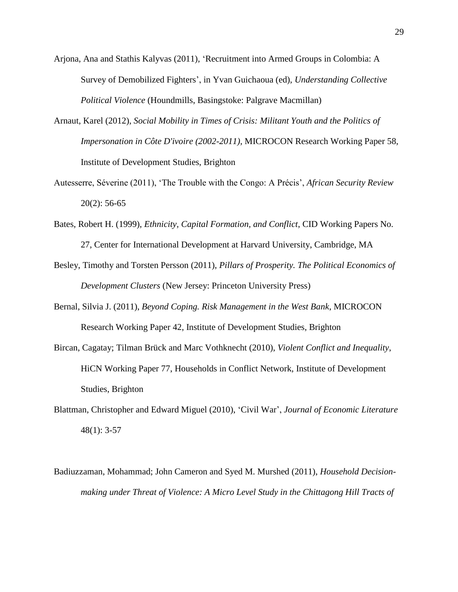- Arjona, Ana and Stathis Kalyvas (2011), ‗Recruitment into Armed Groups in Colombia: A Survey of Demobilized Fighters', in Yvan Guichaoua (ed), *Understanding Collective Political Violence* (Houndmills, Basingstoke: Palgrave Macmillan)
- Arnaut, Karel (2012), *Social Mobility in Times of Crisis: Militant Youth and the Politics of Impersonation in Côte D'ivoire (2002-2011)*, MICROCON Research Working Paper 58, Institute of Development Studies, Brighton
- Autesserre, Séverine (2011), ‗The Trouble with the Congo: A Précis', *African Security Review* 20(2): 56-65
- Bates, Robert H. (1999), *Ethnicity, Capital Formation, and Conflict*, CID Working Papers No. 27, Center for International Development at Harvard University, Cambridge, MA
- Besley, Timothy and Torsten Persson (2011), *Pillars of Prosperity. The Political Economics of Development Clusters* (New Jersey: Princeton University Press)
- Bernal, Silvia J. (2011), *Beyond Coping. Risk Management in the West Bank*, MICROCON Research Working Paper 42, Institute of Development Studies, Brighton
- Bircan, Cagatay; Tilman Brück and Marc Vothknecht (2010), *Violent Conflict and Inequality*, HiCN Working Paper 77, Households in Conflict Network, Institute of Development Studies, Brighton
- Blattman, Christopher and Edward Miguel (2010), ‗Civil War', *Journal of Economic Literature* 48(1): 3-57
- Badiuzzaman, Mohammad; John Cameron and Syed M. Murshed (2011), *Household Decisionmaking under Threat of Violence: A Micro Level Study in the Chittagong Hill Tracts of*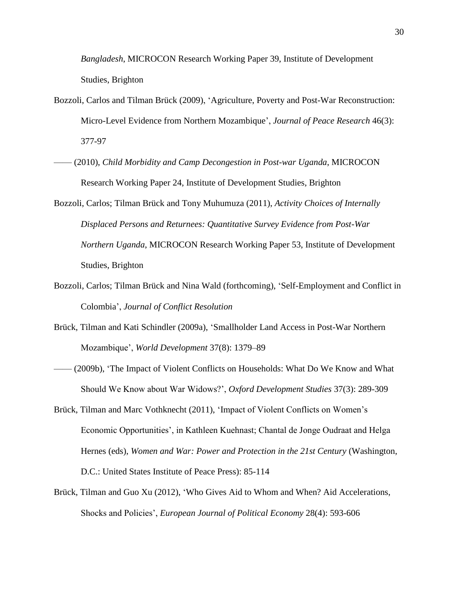*Bangladesh*, MICROCON Research Working Paper 39, Institute of Development Studies, Brighton

- Bozzoli, Carlos and Tilman Brück (2009), ‗Agriculture, Poverty and Post-War Reconstruction: Micro-Level Evidence from Northern Mozambique', *Journal of Peace Research* 46(3): 377-97
- —— (2010), *Child Morbidity and Camp Decongestion in Post-war Uganda*, MICROCON Research Working Paper 24, Institute of Development Studies, Brighton
- Bozzoli, Carlos; Tilman Brück and Tony Muhumuza (2011), *Activity Choices of Internally Displaced Persons and Returnees: Quantitative Survey Evidence from Post-War Northern Uganda*, MICROCON Research Working Paper 53, Institute of Development Studies, Brighton
- Bozzoli, Carlos; Tilman Brück and Nina Wald (forthcoming), 'Self-Employment and Conflict in Colombia', *Journal of Conflict Resolution*
- Brück, Tilman and Kati Schindler (2009a), ‗Smallholder Land Access in Post-War Northern Mozambique', *World Development* 37(8): 1379–89
- —— (2009b), ‗The Impact of Violent Conflicts on Households: What Do We Know and What Should We Know about War Widows?', *Oxford Development Studies* 37(3): 289-309
- Brück, Tilman and Marc Vothknecht (2011), 'Impact of Violent Conflicts on Women's Economic Opportunities', in Kathleen Kuehnast; Chantal de Jonge Oudraat and Helga Hernes (eds), *Women and War: Power and Protection in the 21st Century* (Washington, D.C.: United States Institute of Peace Press): 85-114
- Brück, Tilman and Guo Xu (2012), 'Who Gives Aid to Whom and When? Aid Accelerations, Shocks and Policies', *European Journal of Political Economy* 28(4): 593-606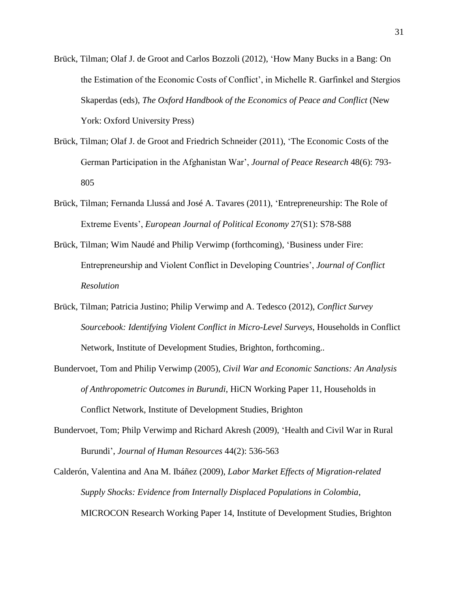- Brück, Tilman; Olaf J. de Groot and Carlos Bozzoli (2012), ‗How Many Bucks in a Bang: On the Estimation of the Economic Costs of Conflict', in Michelle R. Garfinkel and Stergios Skaperdas (eds), *The Oxford Handbook of the Economics of Peace and Conflict* (New York: Oxford University Press)
- Brück, Tilman; Olaf J. de Groot and Friedrich Schneider (2011), 'The Economic Costs of the German Participation in the Afghanistan War', *Journal of Peace Research* 48(6): 793- 805
- Brück, Tilman; Fernanda Llussá and José A. Tavares (2011), ‗Entrepreneurship: The Role of Extreme Events', *European Journal of Political Economy* 27(S1): S78-S88
- Brück, Tilman; Wim Naudé and Philip Verwimp (forthcoming), 'Business under Fire: Entrepreneurship and Violent Conflict in Developing Countries', *Journal of Conflict Resolution*
- Brück, Tilman; Patricia Justino; Philip Verwimp and A. Tedesco (2012), *Conflict Survey Sourcebook: Identifying Violent Conflict in Micro-Level Surveys*, Households in Conflict Network, Institute of Development Studies, Brighton, forthcoming..
- Bundervoet, Tom and Philip Verwimp (2005), *Civil War and Economic Sanctions: An Analysis of Anthropometric Outcomes in Burundi*, HiCN Working Paper 11, Households in Conflict Network, Institute of Development Studies, Brighton
- Bundervoet, Tom; Philp Verwimp and Richard Akresh (2009), 'Health and Civil War in Rural Burundi', *Journal of Human Resources* 44(2): 536-563
- Calderón, Valentina and Ana M. Ibáñez (2009), *Labor Market Effects of Migration-related Supply Shocks: Evidence from Internally Displaced Populations in Colombia*, MICROCON Research Working Paper 14, Institute of Development Studies, Brighton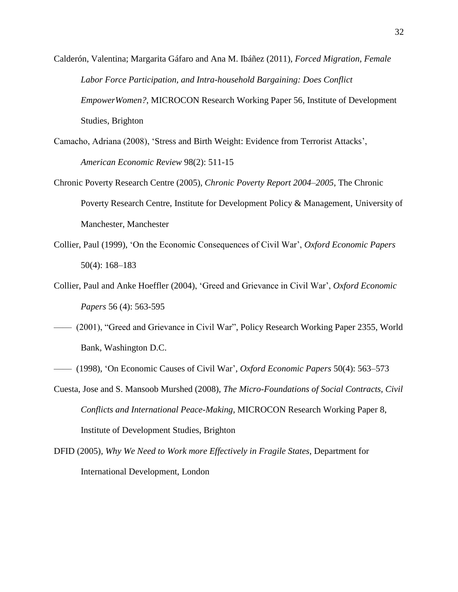Calderón, Valentina; Margarita Gáfaro and Ana M. Ibáñez (2011), *Forced Migration, Female Labor Force Participation, and Intra-household Bargaining: Does Conflict EmpowerWomen?*, MICROCON Research Working Paper 56, Institute of Development Studies, Brighton

- Camacho, Adriana (2008), 'Stress and Birth Weight: Evidence from Terrorist Attacks', *[American Economic Review](http://ideas.repec.org/s/aea/aecrev.html)* 98(2): 511-15
- Chronic Poverty Research Centre (2005), *Chronic Poverty Report 2004–2005*, The Chronic Poverty Research Centre, Institute for Development Policy & Management, University of Manchester, Manchester
- Collier, Paul (1999), ‗On the Economic Consequences of Civil War', *Oxford Economic Papers*  50(4): 168–183
- Collier, Paul and Anke Hoeffler (2004), ‗Greed and Grievance in Civil War', *Oxford Economic Papers* 56 (4): 563-595
- —— (2001), "Greed and Grievance in Civil War", Policy Research Working Paper 2355, World Bank, Washington D.C.

- Cuesta, Jose and S. Mansoob Murshed (2008), *The Micro-Foundations of Social Contracts, Civil Conflicts and International Peace-Making*, MICROCON Research Working Paper 8, Institute of Development Studies, Brighton
- DFID (2005), *Why We Need to Work more Effectively in Fragile States*, Department for International Development, London

<sup>——</sup> (1998), ‗On Economic Causes of Civil War', *Oxford Economic Papers* 50(4): 563–573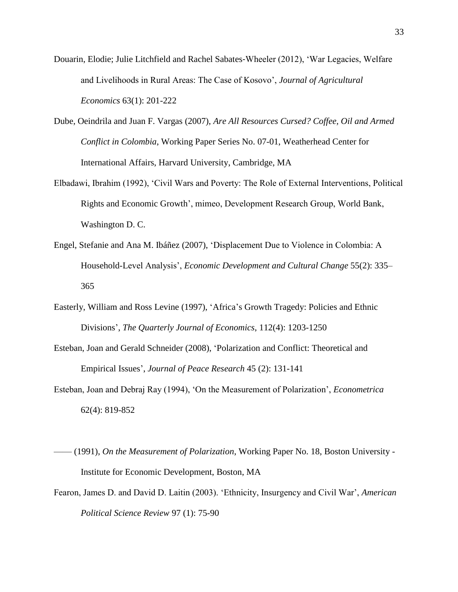- Douarin, Elodie; Julie Litchfield and Rachel Sabates‐Wheeler (2012), ‗War Legacies, Welfare and Livelihoods in Rural Areas: The Case of Kosovo', *Journal of Agricultural Economics* 63(1): 201-222
- Dube, Oeindrila and Juan F. Vargas (2007), *Are All Resources Cursed? Coffee, Oil and Armed Conflict in Colombia*, Working Paper Series No. 07-01, Weatherhead Center for International Affairs, Harvard University, Cambridge, MA
- Elbadawi, Ibrahim (1992), ‗Civil Wars and Poverty: The Role of External Interventions, Political Rights and Economic Growth', mimeo, Development Research Group, World Bank, Washington D. C.
- Engel, Stefanie and Ana M. Ibáñez (2007), ‗Displacement Due to Violence in Colombia: A Household-Level Analysis', *Economic Development and Cultural Change* 55(2): 335– 365
- Easterly, William and Ross Levine (1997), ‗Africa's Growth Tragedy: Policies and Ethnic Divisions', *The Quarterly Journal of Economics*, 112(4): 1203-1250
- Esteban, Joan and Gerald Schneider (2008), ‗Polarization and Conflict: Theoretical and Empirical Issues', *Journal of Peace Research* 45 (2): 131-141
- Esteban, Joan and Debraj Ray (1994), ‗On the Measurement of Polarization', *Econometrica* 62(4): 819-852
- —— (1991), *On the Measurement of Polarization*, Working Paper No. 18, Boston University Institute for Economic Development, Boston, MA
- Fearon, James D. and David D. Laitin (2003). ‗Ethnicity, Insurgency and Civil War', *American Political Science Review* 97 (1): 75-90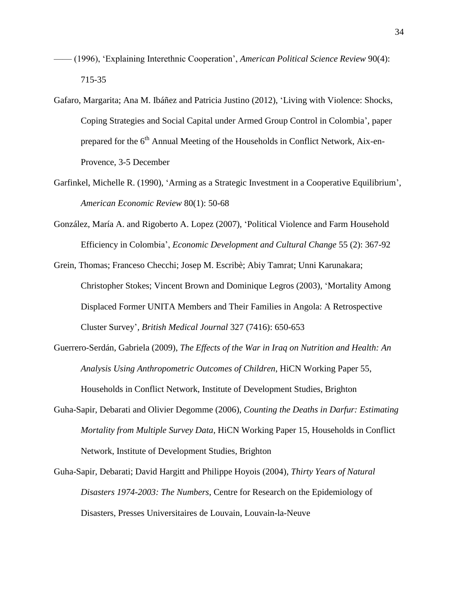- —— (1996), ‗Explaining Interethnic Cooperation', *American Political Science Review* 90(4): 715-35
- Gafaro, Margarita; Ana M. Ibáñez and Patricia Justino (2012), ‗Living with Violence: Shocks, Coping Strategies and Social Capital under Armed Group Control in Colombia', paper prepared for the 6<sup>th</sup> Annual Meeting of the Households in Conflict Network, Aix-en-Provence, 3-5 December
- Garfinkel, Michelle R. (1990), 'Arming as a Strategic Investment in a Cooperative Equilibrium', *American Economic Review* 80(1): 50-68
- González, María A. and Rigoberto A. Lopez (2007), ‗Political Violence and Farm Household Efficiency in Colombia', *Economic Development and Cultural Change* 55 (2): 367-92
- Grein, Thomas; Franceso Checchi; Josep M. Escribè; Abiy Tamrat; Unni Karunakara; Christopher Stokes; Vincent Brown and Dominique Legros (2003), ‗Mortality Among Displaced Former UNITA Members and Their Families in Angola: A Retrospective Cluster Survey', *British Medical Journal* 327 (7416): 650-653
- Guerrero-Serdán, Gabriela (2009), *The Effects of the War in Iraq on Nutrition and Health: An Analysis Using Anthropometric Outcomes of Children*, HiCN Working Paper 55, Households in Conflict Network, Institute of Development Studies, Brighton
- Guha-Sapir, Debarati and Olivier Degomme (2006), *Counting the Deaths in Darfur: Estimating Mortality from Multiple Survey Data*, HiCN Working Paper 15, Households in Conflict Network, Institute of Development Studies, Brighton
- Guha-Sapir, Debarati; David Hargitt and Philippe Hoyois (2004), *Thirty Years of Natural Disasters 1974-2003: The Numbers*, Centre for Research on the Epidemiology of Disasters, Presses Universitaires de Louvain, Louvain-la-Neuve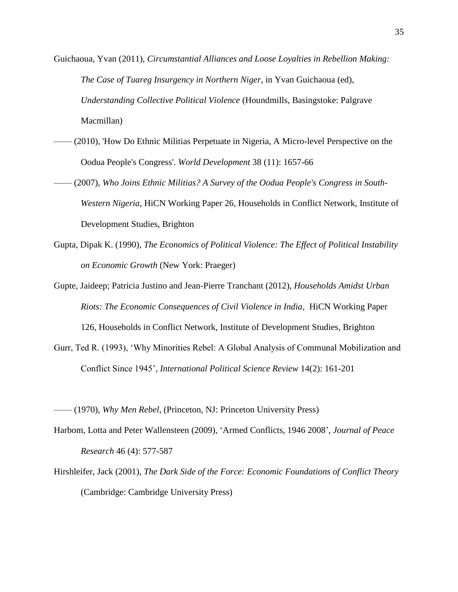- Guichaoua, Yvan (2011), *Circumstantial Alliances and Loose Loyalties in Rebellion Making: The Case of Tuareg Insurgency in Northern Niger*, in Yvan Guichaoua (ed), *Understanding Collective Political Violence* (Houndmills, Basingstoke: Palgrave Macmillan)
- —— (2010), 'How Do Ethnic Militias Perpetuate in Nigeria, A Micro-level Perspective on the Oodua People's Congress'. *World Development* 38 (11): 1657-66
- —— (2007), *Who Joins Ethnic Militias? A Survey of the Oodua People's Congress in South-Western Nigeria*, HiCN Working Paper 26, Households in Conflict Network, Institute of Development Studies, Brighton
- Gupta, Dipak K. (1990), *The Economics of Political Violence: The Effect of Political Instability on Economic Growth* (New York: Praeger)
- Gupte, Jaideep; Patricia Justino and Jean-Pierre Tranchant (2012), *Households Amidst Urban Riots: The Economic Consequences of Civil Violence in India*, HiCN Working Paper 126, Households in Conflict Network, Institute of Development Studies, Brighton
- Gurr, Ted R. (1993), 'Why Minorities Rebel: A Global Analysis of Communal Mobilization and Conflict Since 1945', *International Political Science Review* 14(2): 161-201

—— (1970), *Why Men Rebel*, (Princeton, NJ: Princeton University Press)

- Harbom, Lotta and Peter Wallensteen (2009), ‗Armed Conflicts, 1946 2008', *Journal of Peace Research* 46 (4): 577-587
- Hirshleifer, Jack (2001), *The Dark Side of the Force: Economic Foundations of Conflict Theory* (Cambridge: Cambridge University Press)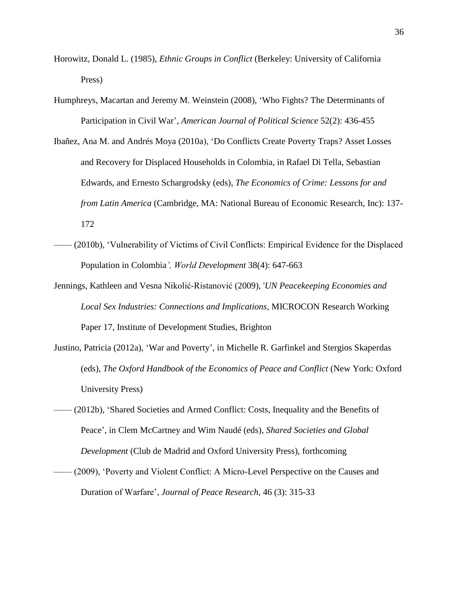- Horowitz, Donald L. (1985), *Ethnic Groups in Conflict* (Berkeley: University of California Press)
- Humphreys, Macartan and Jeremy M. Weinstein (2008), ‗Who Fights? The Determinants of Participation in Civil War', *American Journal of Political Science* 52(2): 436-455
- Ibañez, Ana M. and Andrés Moya (2010a), [‗Do Conflicts Create Poverty Traps? Asset Losses](http://ideas.repec.org/h/nbr/nberch/11837.html)  [and Recovery for Displaced Households in Colombia,](http://ideas.repec.org/h/nbr/nberch/11837.html) in Rafael Di Tella, Sebastian Edwards, and Ernesto Schargrodsky (eds), *The Economics of Crime: Lessons for and from Latin America* (Cambridge, MA: National Bureau of Economic Research, Inc): 137- 172
- —— (2010b), ‗Vulnerability of Victims of Civil Conflicts: Empirical Evidence for the Displaced Population in Colombia*', World Development* 38(4): 647-663
- Jennings, Kathleen and Vesna Nikolić-Ristanović (2009), '*UN Peacekeeping Economies and Local Sex Industries: Connections and Implications*, MICROCON Research Working Paper 17, Institute of Development Studies, Brighton
- Justino, Patricia (2012a), 'War and Poverty', in Michelle R. Garfinkel and Stergios Skaperdas (eds), *The Oxford Handbook of the Economics of Peace and Conflict* (New York: Oxford University Press)
- —— (2012b), ‗Shared Societies and Armed Conflict: Costs, Inequality and the Benefits of Peace', in Clem McCartney and Wim Naudé (eds), *Shared Societies and Global Development* (Club de Madrid and Oxford University Press), forthcoming
- (2009), 'Poverty and Violent Conflict: A Micro-Level Perspective on the Causes and Duration of Warfare', *Journal of Peace Research*, 46 (3): 315-33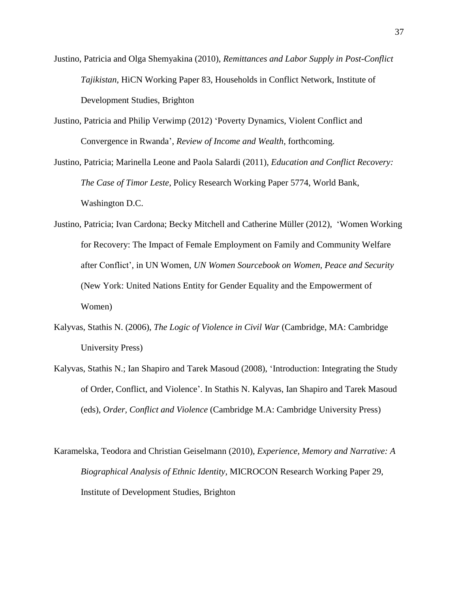- Justino, Patricia and Olga Shemyakina (2010), *Remittances and Labor Supply in Post-Conflict Tajikistan*, HiCN Working Paper 83, Households in Conflict Network, Institute of Development Studies, Brighton
- Justino, Patricia and Philip Verwimp (2012) ‗Poverty Dynamics, Violent Conflict and Convergence in Rwanda', *Review of Income and Wealth*, forthcoming.
- Justino, Patricia; Marinella Leone and Paola Salardi (2011), *Education and Conflict Recovery: The Case of Timor Leste*, Policy Research Working Paper 5774, World Bank, Washington D.C.
- Justino, Patricia; Ivan Cardona; Becky Mitchell and Catherine Müller (2012), ‗Women Working for Recovery: The Impact of Female Employment on Family and Community Welfare after Conflict', in UN Women, *UN Women Sourcebook on Women, Peace and Security* (New York: United Nations Entity for Gender Equality and the Empowerment of Women)
- Kalyvas, Stathis N. (2006), *The Logic of Violence in Civil War* (Cambridge, MA: Cambridge University Press)
- Kalyvas, Stathis N.; Ian Shapiro and Tarek Masoud (2008), 'Introduction: Integrating the Study of Order, Conflict, and Violence'. In Stathis N. Kalyvas, Ian Shapiro and Tarek Masoud (eds), *Order, Conflict and Violence* (Cambridge M.A: Cambridge University Press)

Karamelska, Teodora and Christian Geiselmann (2010), *Experience, Memory and Narrative: A Biographical Analysis of Ethnic Identity*, MICROCON Research Working Paper 29, Institute of Development Studies, Brighton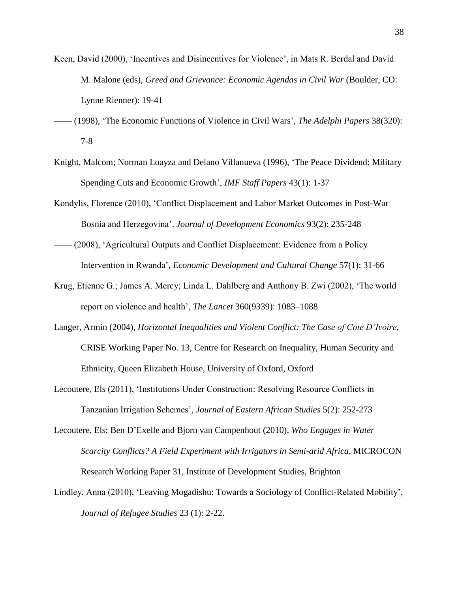- Keen, David (2000), 'Incentives and Disincentives for Violence', in Mats R. Berdal and David M. Malone (eds), *Greed and Grievance: Economic Agendas in Civil War* (Boulder, CO: Lynne Rienner): 19-41
- —— (1998), ‗The Economic Functions of Violence in Civil Wars', *The Adelphi Papers* 38(320): 7-8
- Knight, Malcom; Norman Loayza and Delano Villanueva (1996), 'The Peace Dividend: Military Spending Cuts and Economic Growth', *IMF Staff Papers* 43(1): 1-37
- Kondylis, Florence (2010), ‗Conflict Displacement and Labor Market Outcomes in Post-War Bosnia and Herzegovina', *Journal of Development Economics* 93(2): 235-248
- —— (2008), ‗Agricultural Outputs and Conflict Displacement: Evidence from a Policy Intervention in Rwanda', *[Economic Development and Cultural Change](http://ideas.repec.org/s/ucp/ecdecc.html)* 57(1): 31-66
- Krug, Etienne G.; James A. Mercy; Linda L. Dahlberg and Anthony B. Zwi (2002), ‗The world report on violence and health', *The Lancet* 360(9339): 1083–1088
- Langer, Armin (2004), *Horizontal Inequalities and Violent Conflict: The Case of Cote D'Ivoire*, CRISE Working Paper No. 13, Centre for Research on Inequality, Human Security and Ethnicity, Queen Elizabeth House, University of Oxford, Oxford
- Lecoutere, Els (2011), 'Institutions Under Construction: Resolving Resource Conflicts in Tanzanian Irrigation Schemes', *Journal of Eastern African Studies* 5(2): 252-273
- Lecoutere, Els; Ben D'Exelle and Bjorn van Campenhout (2010), *Who Engages in Water Scarcity Conflicts? A Field Experiment with Irrigators in Semi-arid Africa*, MICROCON Research Working Paper 31, Institute of Development Studies, Brighton
- Lindley, Anna (2010), 'Leaving Mogadishu: Towards a Sociology of Conflict-Related Mobility', *Journal of Refugee Studies* 23 (1): 2-22.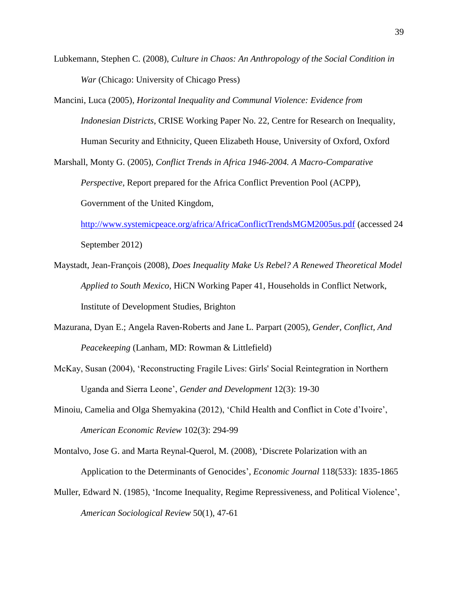- Lubkemann, Stephen C. (2008), *Culture in Chaos: An Anthropology of the Social Condition in War* (Chicago: University of Chicago Press)
- Mancini, Luca (2005), *Horizontal Inequality and Communal Violence: Evidence from Indonesian Districts*, CRISE Working Paper No. 22, Centre for Research on Inequality, Human Security and Ethnicity, Queen Elizabeth House, University of Oxford, Oxford

Marshall, Monty G. (2005), *Conflict Trends in Africa 1946-2004. A Macro-Comparative* 

*Perspective*, Report prepared for the Africa Conflict Prevention Pool (ACPP), Government of the United Kingdom,

<http://www.systemicpeace.org/africa/AfricaConflictTrendsMGM2005us.pdf> (accessed 24 September 2012)

- Maystadt, Jean-François (2008), *Does Inequality Make Us Rebel? A Renewed Theoretical Model Applied to South Mexico*, HiCN Working Paper 41, Households in Conflict Network, Institute of Development Studies, Brighton
- Mazurana, Dyan E.; Angela Raven-Roberts and Jane L. Parpart (2005), *Gender, Conflict, And Peacekeeping* (Lanham, MD: Rowman & Littlefield)
- McKay, Susan (2004), 'Reconstructing Fragile Lives: Girls' Social Reintegration in Northern Uganda and Sierra Leone', *Gender and Development* 12(3): 19-30
- Minoiu, Camelia and Olga Shemyakina (2012), ‗Child Health and Conflict in Cote d'Ivoire', *American Economic Review* 102(3): 294-99

Montalvo, Jose G. and Marta Reynal-Querol, M. (2008), ‗Discrete Polarization with an Application to the Determinants of Genocides', *Economic Journal* 118(533): 1835-1865

Muller, Edward N. (1985), 'Income Inequality, Regime Repressiveness, and Political Violence', *American Sociological Review* 50(1), 47-61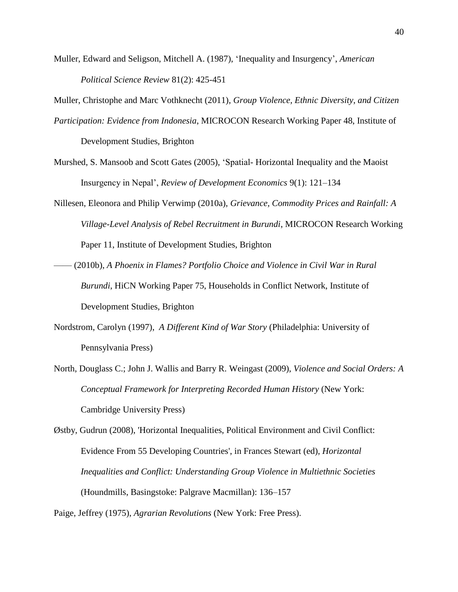- Muller, Edward and Seligson, Mitchell A. (1987), ‗Inequality and Insurgency', *American Political Science Review* 81(2): 425-451
- Muller, Christophe and Marc Vothknecht (2011), *Group Violence, Ethnic Diversity, and Citizen*
- *Participation: Evidence from Indonesia*, MICROCON Research Working Paper 48, Institute of Development Studies, Brighton
- Murshed, S. Mansoob and Scott Gates (2005), 'Spatial-Horizontal Inequality and the Maoist Insurgency in Nepal', *Review of Development Economics* 9(1): 121–134
- Nillesen, Eleonora and Philip Verwimp (2010a), *Grievance, Commodity Prices and Rainfall: A Village-Level Analysis of Rebel Recruitment in Burundi*, MICROCON Research Working Paper 11, Institute of Development Studies, Brighton
- —— (2010b), *A Phoenix in Flames? Portfolio Choice and Violence in Civil War in Rural Burundi*, HiCN Working Paper 75, Households in Conflict Network, Institute of Development Studies, Brighton
- Nordstrom, Carolyn (1997), *A Different Kind of War Story* (Philadelphia: University of Pennsylvania Press)
- North, Douglass C.; John J. Wallis and Barry R. Weingast (2009), *Violence and Social Orders: A Conceptual Framework for Interpreting Recorded Human History* (New York: Cambridge University Press)

Østby, Gudrun (2008), ['Horizontal Inequalities, Political Environment and Civil Conflict:](http://www.prio.no/CSCW/Research-and-Publications/Publication/?oid=182313)  [Evidence From 55 Developing Countries',](http://www.prio.no/CSCW/Research-and-Publications/Publication/?oid=182313) in Frances Stewart (ed), *Horizontal Inequalities and Conflict: Understanding Group Violence in Multiethnic Societies* (Houndmills, Basingstoke: Palgrave Macmillan): 136–157

Paige, Jeffrey (1975), *Agrarian Revolutions* (New York: Free Press).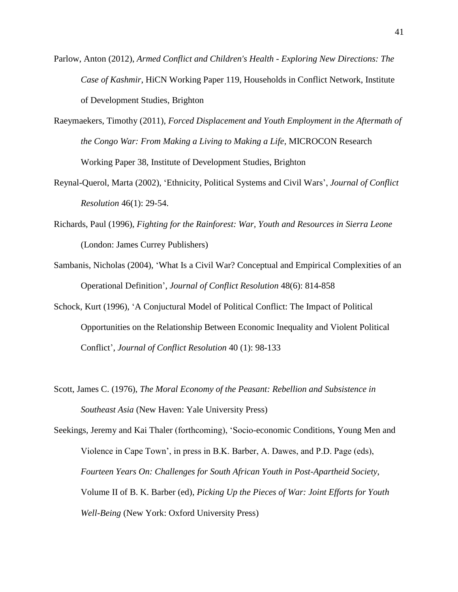- Parlow, Anton (2012), *Armed Conflict and Children's Health - Exploring New Directions: The Case of Kashmir*, HiCN Working Paper 119, Households in Conflict Network, Institute of Development Studies, Brighton
- Raeymaekers, Timothy (2011), *Forced Displacement and Youth Employment in the Aftermath of the Congo War: From Making a Living to Making a Life*, MICROCON Research Working Paper 38, Institute of Development Studies, Brighton
- Reynal-Querol, Marta (2002), ‗Ethnicity, Political Systems and Civil Wars', *Journal of Conflict Resolution* 46(1): 29-54.
- Richards, Paul (1996), *Fighting for the Rainforest: War, Youth and Resources in Sierra Leone* (London: James Currey Publishers)
- Sambanis, Nicholas (2004), 'What Is a Civil War? Conceptual and Empirical Complexities of an Operational Definition', *Journal of Conflict Resolution* 48(6): 814-858
- Schock, Kurt (1996), ‗A Conjuctural Model of Political Conflict: The Impact of Political Opportunities on the Relationship Between Economic Inequality and Violent Political Conflict', *Journal of Conflict Resolution* 40 (1): 98-133
- Scott, James C. (1976), *The Moral Economy of the Peasant: Rebellion and Subsistence in Southeast Asia* (New Haven: Yale University Press)

Seekings, Jeremy and Kai Thaler (forthcoming), ‗Socio-economic Conditions, Young Men and Violence in Cape Town', in press in B.K. Barber, A. Dawes, and P.D. Page (eds), *Fourteen Years On: Challenges for South African Youth in Post-Apartheid Society*, Volume II of B. K. Barber (ed), *Picking Up the Pieces of War: Joint Efforts for Youth Well-Being* (New York: Oxford University Press)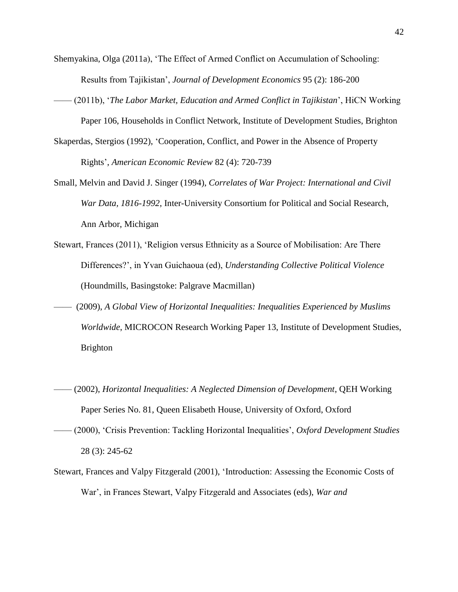- Shemyakina, Olga (2011a), 'The Effect of Armed Conflict on Accumulation of Schooling: Results from Tajikistan', *Journal of Development Economics* 95 (2): 186-200
- —— (2011b), ‗*[The Labor Market, Education and Armed Conflict in Tajikistan](http://ideas.repec.org/p/wbk/wbrwps/5738.html)*', HiCN Working Paper 106, Households in Conflict Network, Institute of Development Studies, Brighton
- Skaperdas, Stergios (1992), ‗Cooperation, Conflict, and Power in the Absence of Property Rights', *American Economic Review* 82 (4): 720-739
- Small, Melvin and David J. Singer (1994), *Correlates of War Project: International and Civil War Data, 1816-1992*, Inter-University Consortium for Political and Social Research, Ann Arbor, Michigan
- Stewart, Frances (2011), 'Religion versus Ethnicity as a Source of Mobilisation: Are There Differences?', in Yvan Guichaoua (ed), *Understanding Collective Political Violence*  (Houndmills, Basingstoke: Palgrave Macmillan)
- —— (2009), *A Global View of Horizontal Inequalities: Inequalities Experienced by Muslims Worldwide*, MICROCON Research Working Paper 13, Institute of Development Studies, Brighton
- —— (2002), *Horizontal Inequalities: A Neglected Dimension of Development*, QEH Working Paper Series No. 81, Queen Elisabeth House, University of Oxford, Oxford
- —— (2000), ‗Crisis Prevention: Tackling Horizontal Inequalities', *Oxford Development Studies* 28 (3): 245-62
- Stewart, Frances and Valpy Fitzgerald (2001), ‗Introduction: Assessing the Economic Costs of War', in Frances Stewart, Valpy Fitzgerald and Associates (eds), *War and*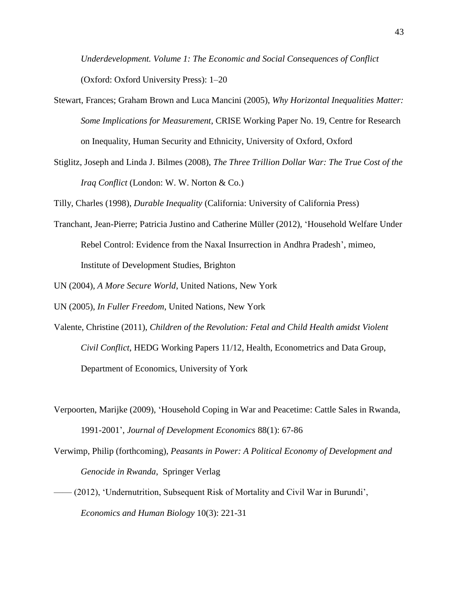*Underdevelopment. Volume 1: The Economic and Social Consequences of Conflict* (Oxford: Oxford University Press): 1–20

- Stewart, Frances; Graham Brown and Luca Mancini (2005), *Why Horizontal Inequalities Matter: Some Implications for Measurement*, CRISE Working Paper No. 19, Centre for Research on Inequality, Human Security and Ethnicity, University of Oxford, Oxford
- Stiglitz, Joseph and Linda J. Bilmes (2008), *The Three Trillion Dollar War: The True Cost of the Iraq Conflict* (London: W. W. Norton & Co.)

Tilly, Charles (1998), *Durable Inequality* (California: University of California Press)

- Tranchant, Jean-Pierre; Patricia Justino and Catherine Müller (2012), ‗Household Welfare Under Rebel Control: Evidence from the Naxal Insurrection in Andhra Pradesh', mimeo, Institute of Development Studies, Brighton
- UN (2004), *A More Secure World*, United Nations, New York
- UN (2005), *In Fuller Freedom*, United Nations, New York
- Valente, Christine (2011), *[Children of the Revolution: Fetal and Child Health amidst Violent](http://ideas.repec.org/p/yor/hectdg/11-12.html)  [Civil Conflict](http://ideas.repec.org/p/yor/hectdg/11-12.html)*, [HEDG Working Papers](http://ideas.repec.org/s/yor/hectdg.html) 11/12, Health, Econometrics and Data Group, Department of Economics, University of York
- Verpoorten, Marijke (2009), ‗Household Coping in War and Peacetime: Cattle Sales in Rwanda, 1991-2001', *Journal of Development Economics* 88(1): 67-86
- Verwimp, Philip (forthcoming), *Peasants in Power: A Political Economy of Development and Genocide in Rwanda*, Springer Verlag
- —— (2012), ‗Undernutrition, Subsequent Risk of Mortality and Civil War in Burundi', *[Economics and Human Biology](http://www.ncbi.nlm.nih.gov/pubmed/22154529)* 10(3): 221-31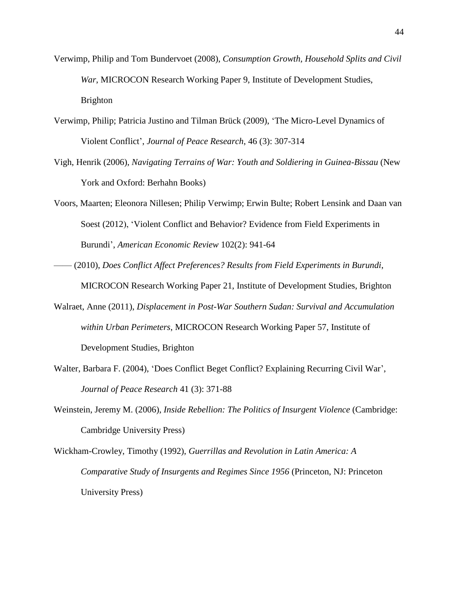- Verwimp, Philip and Tom Bundervoet (2008), *Consumption Growth, Household Splits and Civil War*, MICROCON Research Working Paper 9, Institute of Development Studies, Brighton
- Verwimp, Philip; Patricia Justino and Tilman Brück (2009), ‗The Micro-Level Dynamics of Violent Conflict', *Journal of Peace Research*, 46 (3): 307-314
- Vigh, Henrik (2006), *Navigating Terrains of War: Youth and Soldiering in Guinea-Bissau* (New York and Oxford: Berhahn Books)
- Voors, Maarten; Eleonora Nillesen; Philip Verwimp; Erwin Bulte; Robert Lensink and Daan van Soest (2012), ‗Violent Conflict and Behavior? Evidence from Field Experiments in Burundi', *American Economic Review* 102(2): 941-64
- —— (2010), *Does Conflict Affect Preferences? Results from Field Experiments in Burundi*, MICROCON Research Working Paper 21, Institute of Development Studies, Brighton
- Walraet, Anne (2011), *Displacement in Post-War Southern Sudan: Survival and Accumulation within Urban Perimeters*, MICROCON Research Working Paper 57, Institute of Development Studies, Brighton
- Walter, Barbara F. (2004), 'Does Conflict Beget Conflict? Explaining Recurring Civil War', *Journal of Peace Research* 41 (3): 371-88
- Weinstein, Jeremy M. (2006), *Inside Rebellion: The Politics of Insurgent Violence* (Cambridge: Cambridge University Press)
- Wickham-Crowley, Timothy (1992), *Guerrillas and Revolution in Latin America: A Comparative Study of Insurgents and Regimes Since 1956* (Princeton, NJ: Princeton University Press)